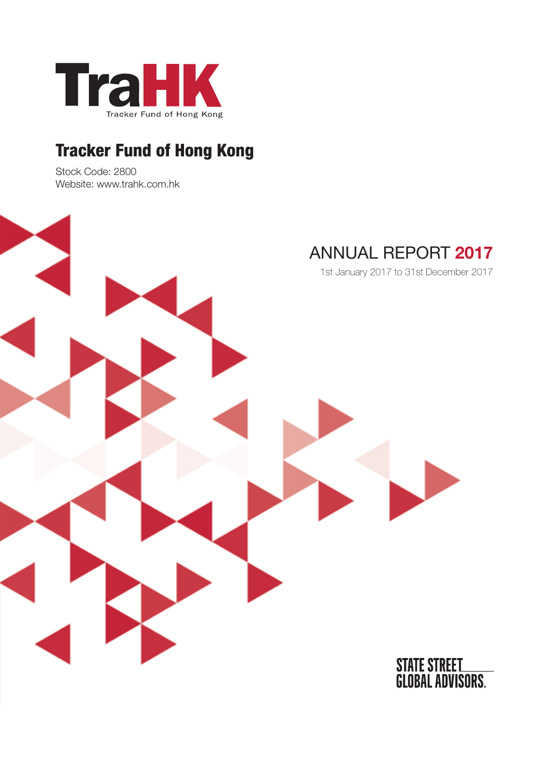

# **Tracker Fund of Hong Kong**

Stock Code: 2800 Website: www.trahk.com.hk

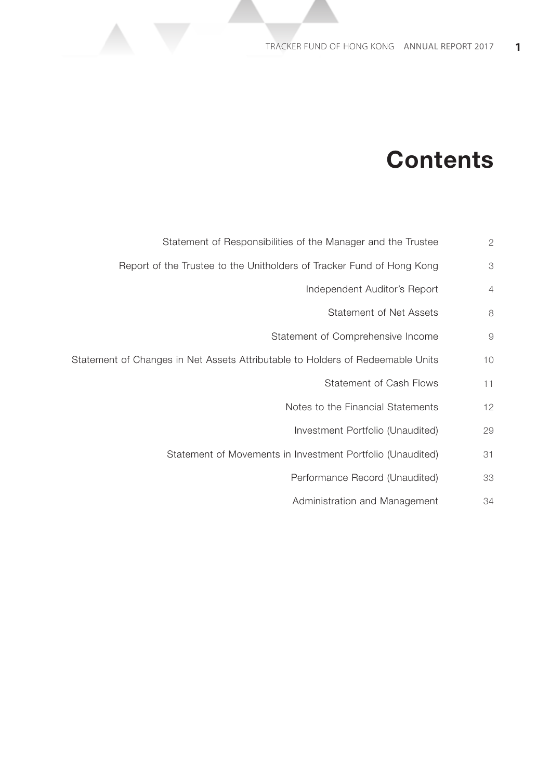# **Contents**

|  |  |  | Statement of Responsibilities of the Manager and the Trustee |  |
|--|--|--|--------------------------------------------------------------|--|
|--|--|--|--------------------------------------------------------------|--|

- Report of the Trustee to the Unitholders of Tracker Fund of Hong Kong 3
	- Independent Auditor's Report 4
		- Statement of Net Assets 8
	- Statement of Comprehensive Income 9
- Statement of Changes in Net Assets Attributable to Holders of Redeemable Units 10
	- Statement of Cash Flows 11
	- Notes to the Financial Statements 12
		- Investment Portfolio (Unaudited) 29
	- Statement of Movements in Investment Portfolio (Unaudited) 31
		- Performance Record (Unaudited) 33
		- Administration and Management 34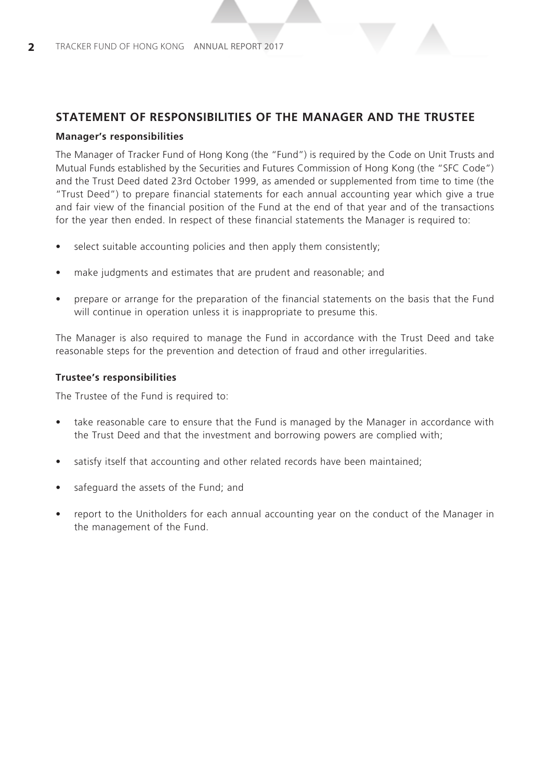# **STATEMENT OF RESPONSIBILITIES OF THE MANAGER AND THE TRUSTEE**

#### **Manager's responsibilities**

The Manager of Tracker Fund of Hong Kong (the "Fund") is required by the Code on Unit Trusts and Mutual Funds established by the Securities and Futures Commission of Hong Kong (the "SFC Code") and the Trust Deed dated 23rd October 1999, as amended or supplemented from time to time (the "Trust Deed") to prepare financial statements for each annual accounting year which give a true and fair view of the financial position of the Fund at the end of that year and of the transactions for the year then ended. In respect of these financial statements the Manager is required to:

- select suitable accounting policies and then apply them consistently;
- make judgments and estimates that are prudent and reasonable; and
- prepare or arrange for the preparation of the financial statements on the basis that the Fund will continue in operation unless it is inappropriate to presume this.

The Manager is also required to manage the Fund in accordance with the Trust Deed and take reasonable steps for the prevention and detection of fraud and other irregularities.

#### **Trustee's responsibilities**

The Trustee of the Fund is required to:

- take reasonable care to ensure that the Fund is managed by the Manager in accordance with the Trust Deed and that the investment and borrowing powers are complied with;
- satisfy itself that accounting and other related records have been maintained;
- safeguard the assets of the Fund; and
- report to the Unitholders for each annual accounting year on the conduct of the Manager in the management of the Fund.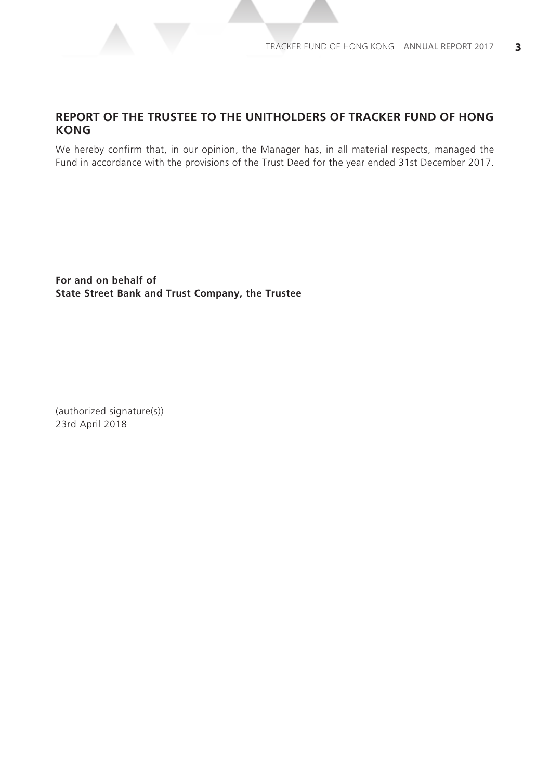# **REPORT OF THE TRUSTEE TO THE UNITHOLDERS OF TRACKER FUND OF HONG KONG**

We hereby confirm that, in our opinion, the Manager has, in all material respects, managed the Fund in accordance with the provisions of the Trust Deed for the year ended 31st December 2017.

**For and on behalf of State Street Bank and Trust Company, the Trustee**

(authorized signature(s)) 23rd April 2018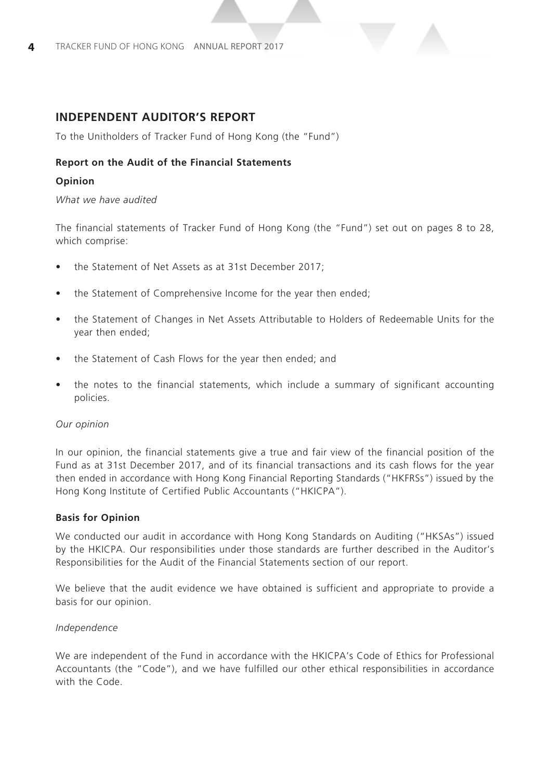To the Unitholders of Tracker Fund of Hong Kong (the "Fund")

## **Report on the Audit of the Financial Statements**

### **Opinion**

*What we have audited*

The financial statements of Tracker Fund of Hong Kong (the "Fund") set out on pages 8 to 28, which comprise:

- the Statement of Net Assets as at 31st December 2017;
- the Statement of Comprehensive Income for the year then ended:
- the Statement of Changes in Net Assets Attributable to Holders of Redeemable Units for the year then ended;
- the Statement of Cash Flows for the year then ended; and
- the notes to the financial statements, which include a summary of significant accounting policies.

### *Our opinion*

In our opinion, the financial statements give a true and fair view of the financial position of the Fund as at 31st December 2017, and of its financial transactions and its cash flows for the year then ended in accordance with Hong Kong Financial Reporting Standards ("HKFRSs") issued by the Hong Kong Institute of Certified Public Accountants ("HKICPA").

### **Basis for Opinion**

We conducted our audit in accordance with Hong Kong Standards on Auditing ("HKSAs") issued by the HKICPA. Our responsibilities under those standards are further described in the Auditor's Responsibilities for the Audit of the Financial Statements section of our report.

We believe that the audit evidence we have obtained is sufficient and appropriate to provide a basis for our opinion.

#### *Independence*

We are independent of the Fund in accordance with the HKICPA's Code of Ethics for Professional Accountants (the "Code"), and we have fulfilled our other ethical responsibilities in accordance with the Code.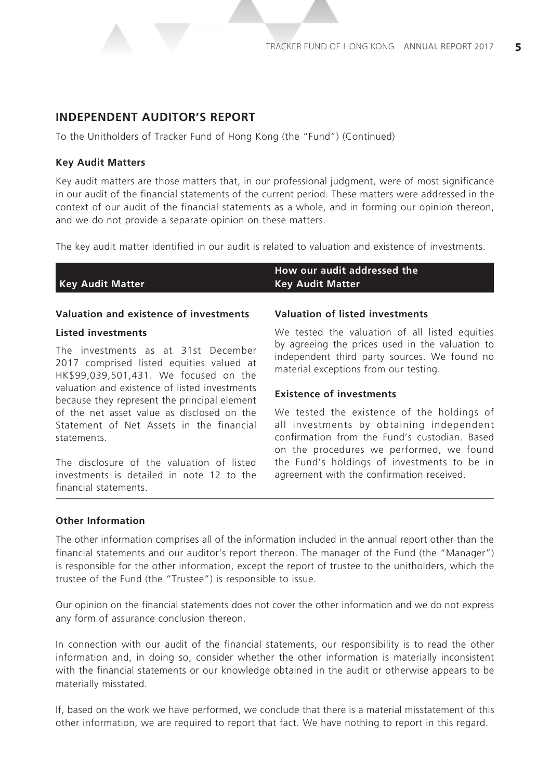To the Unitholders of Tracker Fund of Hong Kong (the "Fund") (Continued)

#### **Key Audit Matters**

Key audit matters are those matters that, in our professional judgment, were of most significance in our audit of the financial statements of the current period. These matters were addressed in the context of our audit of the financial statements as a whole, and in forming our opinion thereon, and we do not provide a separate opinion on these matters.

The key audit matter identified in our audit is related to valuation and existence of investments.

| Key Audit Matter                                                                                                         | How our audit addressed the<br><b>Key Audit Matter</b>                                                                                   |  |  |
|--------------------------------------------------------------------------------------------------------------------------|------------------------------------------------------------------------------------------------------------------------------------------|--|--|
| Valuation and existence of investments                                                                                   | Valuation of listed investments                                                                                                          |  |  |
| Listed investments                                                                                                       | We tested the valuation of all listed equities                                                                                           |  |  |
| The investments as at 31st December<br>2017 comprised listed equities valued at<br>HK\$99.039.501.431. We focused on the | by agreeing the prices used in the valuation to<br>independent third party sources. We found no<br>material exceptions from our testing. |  |  |
| valuation and existence of listed investments<br>because they represent the principal element                            | <b>Existence of investments</b>                                                                                                          |  |  |
| of the net asset value as disclosed on the<br>Statement of Net Assets in the financial<br>statements.                    | We tested the existence of the holdings of<br>all investments by obtaining independent<br>confirmation from the Fund's custodian. Based  |  |  |

The disclosure of the valuation of listed investments is detailed in note 12 to the financial statements.

confirmation from the Fund's custodian. Based on the procedures we performed, we found the Fund's holdings of investments to be in agreement with the confirmation received.

### **Other Information**

The other information comprises all of the information included in the annual report other than the financial statements and our auditor's report thereon. The manager of the Fund (the "Manager") is responsible for the other information, except the report of trustee to the unitholders, which the trustee of the Fund (the "Trustee") is responsible to issue.

Our opinion on the financial statements does not cover the other information and we do not express any form of assurance conclusion thereon.

In connection with our audit of the financial statements, our responsibility is to read the other information and, in doing so, consider whether the other information is materially inconsistent with the financial statements or our knowledge obtained in the audit or otherwise appears to be materially misstated.

If, based on the work we have performed, we conclude that there is a material misstatement of this other information, we are required to report that fact. We have nothing to report in this regard.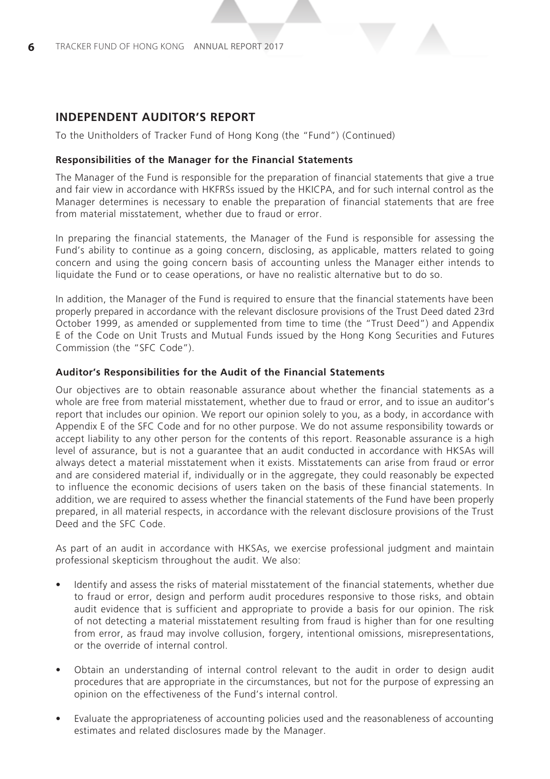To the Unitholders of Tracker Fund of Hong Kong (the "Fund") (Continued)

### **Responsibilities of the Manager for the Financial Statements**

The Manager of the Fund is responsible for the preparation of financial statements that give a true and fair view in accordance with HKFRSs issued by the HKICPA, and for such internal control as the Manager determines is necessary to enable the preparation of financial statements that are free from material misstatement, whether due to fraud or error.

In preparing the financial statements, the Manager of the Fund is responsible for assessing the Fund's ability to continue as a going concern, disclosing, as applicable, matters related to going concern and using the going concern basis of accounting unless the Manager either intends to liquidate the Fund or to cease operations, or have no realistic alternative but to do so.

In addition, the Manager of the Fund is required to ensure that the financial statements have been properly prepared in accordance with the relevant disclosure provisions of the Trust Deed dated 23rd October 1999, as amended or supplemented from time to time (the "Trust Deed") and Appendix E of the Code on Unit Trusts and Mutual Funds issued by the Hong Kong Securities and Futures Commission (the "SFC Code").

#### **Auditor's Responsibilities for the Audit of the Financial Statements**

Our objectives are to obtain reasonable assurance about whether the financial statements as a whole are free from material misstatement, whether due to fraud or error, and to issue an auditor's report that includes our opinion. We report our opinion solely to you, as a body, in accordance with Appendix E of the SFC Code and for no other purpose. We do not assume responsibility towards or accept liability to any other person for the contents of this report. Reasonable assurance is a high level of assurance, but is not a guarantee that an audit conducted in accordance with HKSAs will always detect a material misstatement when it exists. Misstatements can arise from fraud or error and are considered material if, individually or in the aggregate, they could reasonably be expected to influence the economic decisions of users taken on the basis of these financial statements. In addition, we are required to assess whether the financial statements of the Fund have been properly prepared, in all material respects, in accordance with the relevant disclosure provisions of the Trust Deed and the SFC Code.

As part of an audit in accordance with HKSAs, we exercise professional judgment and maintain professional skepticism throughout the audit. We also:

- Identify and assess the risks of material misstatement of the financial statements, whether due to fraud or error, design and perform audit procedures responsive to those risks, and obtain audit evidence that is sufficient and appropriate to provide a basis for our opinion. The risk of not detecting a material misstatement resulting from fraud is higher than for one resulting from error, as fraud may involve collusion, forgery, intentional omissions, misrepresentations, or the override of internal control.
- Obtain an understanding of internal control relevant to the audit in order to design audit procedures that are appropriate in the circumstances, but not for the purpose of expressing an opinion on the effectiveness of the Fund's internal control.
- Evaluate the appropriateness of accounting policies used and the reasonableness of accounting estimates and related disclosures made by the Manager.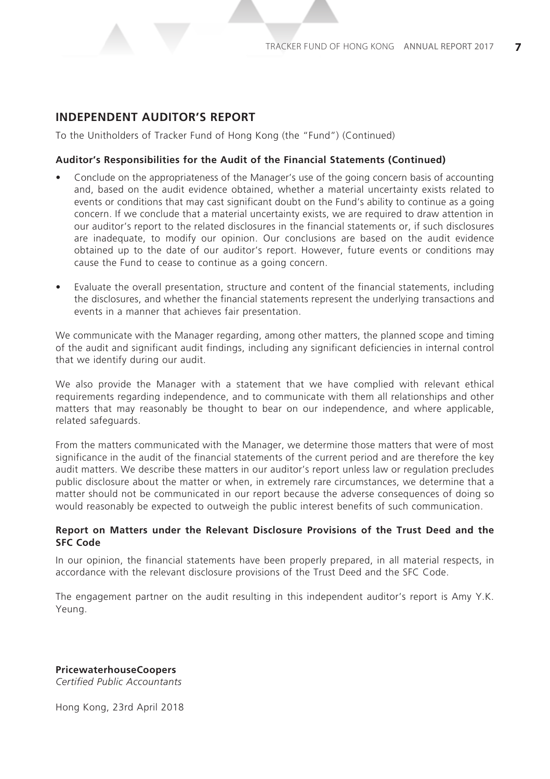To the Unitholders of Tracker Fund of Hong Kong (the "Fund") (Continued)

#### **Auditor's Responsibilities for the Audit of the Financial Statements (Continued)**

- Conclude on the appropriateness of the Manager's use of the going concern basis of accounting and, based on the audit evidence obtained, whether a material uncertainty exists related to events or conditions that may cast significant doubt on the Fund's ability to continue as a going concern. If we conclude that a material uncertainty exists, we are required to draw attention in our auditor's report to the related disclosures in the financial statements or, if such disclosures are inadequate, to modify our opinion. Our conclusions are based on the audit evidence obtained up to the date of our auditor's report. However, future events or conditions may cause the Fund to cease to continue as a going concern.
- Evaluate the overall presentation, structure and content of the financial statements, including the disclosures, and whether the financial statements represent the underlying transactions and events in a manner that achieves fair presentation.

We communicate with the Manager regarding, among other matters, the planned scope and timing of the audit and significant audit findings, including any significant deficiencies in internal control that we identify during our audit.

We also provide the Manager with a statement that we have complied with relevant ethical requirements regarding independence, and to communicate with them all relationships and other matters that may reasonably be thought to bear on our independence, and where applicable, related safeguards.

From the matters communicated with the Manager, we determine those matters that were of most significance in the audit of the financial statements of the current period and are therefore the key audit matters. We describe these matters in our auditor's report unless law or regulation precludes public disclosure about the matter or when, in extremely rare circumstances, we determine that a matter should not be communicated in our report because the adverse consequences of doing so would reasonably be expected to outweigh the public interest benefits of such communication.

### **Report on Matters under the Relevant Disclosure Provisions of the Trust Deed and the SFC Code**

In our opinion, the financial statements have been properly prepared, in all material respects, in accordance with the relevant disclosure provisions of the Trust Deed and the SFC Code.

The engagement partner on the audit resulting in this independent auditor's report is Amy Y.K. Yeung.

**PricewaterhouseCoopers**  *Certified Public Accountants* 

Hong Kong, 23rd April 2018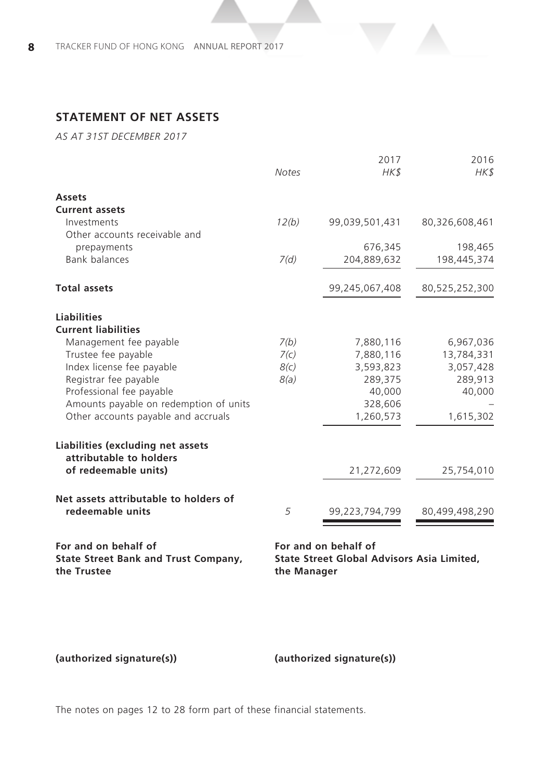# **STATEMENT OF NET ASSETS**

*AS AT 31ST DECEMBER 2017*

|                                                              | <b>Notes</b> | 2017<br>HK\$   | 2016<br>HK\$   |
|--------------------------------------------------------------|--------------|----------------|----------------|
|                                                              |              |                |                |
| <b>Assets</b>                                                |              |                |                |
| <b>Current assets</b>                                        |              |                |                |
| Investments                                                  | 12(b)        | 99,039,501,431 | 80,326,608,461 |
| Other accounts receivable and                                |              |                |                |
| prepayments                                                  |              | 676,345        | 198,465        |
| <b>Bank balances</b>                                         | 7(d)         | 204,889,632    | 198,445,374    |
| <b>Total assets</b>                                          |              | 99,245,067,408 | 80,525,252,300 |
| <b>Liabilities</b>                                           |              |                |                |
| <b>Current liabilities</b>                                   |              |                |                |
| Management fee payable                                       | 7(b)         | 7,880,116      | 6,967,036      |
| Trustee fee payable                                          | 7(c)         | 7,880,116      | 13,784,331     |
| Index license fee payable                                    | 8(c)         | 3,593,823      | 3,057,428      |
| Registrar fee payable                                        | 8(a)         | 289,375        | 289,913        |
| Professional fee payable                                     |              | 40,000         | 40,000         |
| Amounts payable on redemption of units                       |              | 328,606        |                |
| Other accounts payable and accruals                          |              | 1,260,573      | 1,615,302      |
| Liabilities (excluding net assets<br>attributable to holders |              |                |                |
| of redeemable units)                                         |              | 21,272,609     | 25,754,010     |
| Net assets attributable to holders of<br>redeemable units    | 5            | 99,223,794,799 | 80,499,498,290 |
|                                                              |              |                |                |

**For and on behalf of For and on behalf of State Street Bank and Trust Company, the Trustee**

**State Street Global Advisors Asia Limited, the Manager**

**(authorized signature(s)) (authorized signature(s))**

The notes on pages 12 to 28 form part of these financial statements.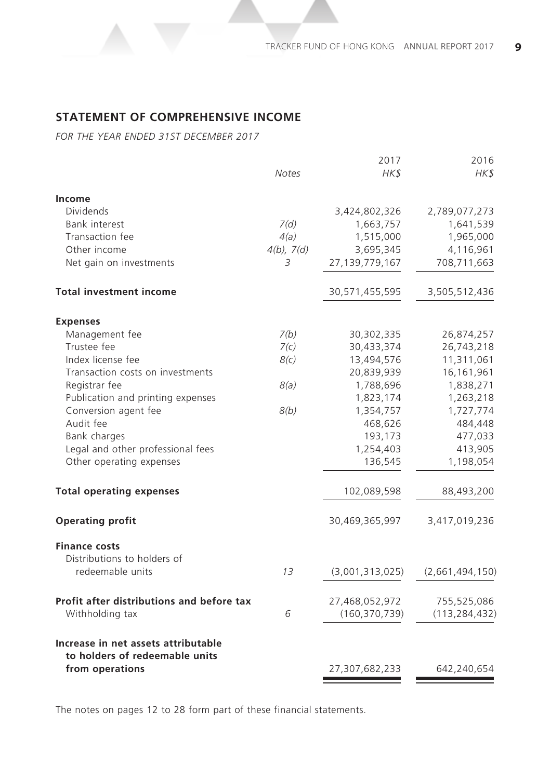# **STATEMENT OF COMPREHENSIVE INCOME**

*FOR THE YEAR ENDED 31ST DECEMBER 2017*

| <b>Notes</b> | 2017<br>HK\$                                       | 2016<br>HK\$                                                                                                         |
|--------------|----------------------------------------------------|----------------------------------------------------------------------------------------------------------------------|
|              |                                                    |                                                                                                                      |
|              | 3,424,802,326                                      | 2,789,077,273                                                                                                        |
| 7(d)         | 1,663,757                                          | 1,641,539                                                                                                            |
| 4(a)         | 1,515,000                                          | 1,965,000                                                                                                            |
|              | 3,695,345                                          | 4,116,961                                                                                                            |
|              |                                                    | 708,711,663                                                                                                          |
|              | 30,571,455,595                                     | 3,505,512,436                                                                                                        |
|              |                                                    |                                                                                                                      |
| 7(b)         | 30,302,335                                         | 26,874,257                                                                                                           |
|              | 30,433,374                                         | 26,743,218                                                                                                           |
|              |                                                    | 11,311,061                                                                                                           |
|              |                                                    | 16, 161, 961                                                                                                         |
|              |                                                    | 1,838,271                                                                                                            |
|              |                                                    | 1,263,218                                                                                                            |
|              |                                                    | 1,727,774                                                                                                            |
|              |                                                    | 484,448                                                                                                              |
|              |                                                    | 477,033                                                                                                              |
|              | 136,545                                            | 413,905<br>1,198,054                                                                                                 |
|              | 102,089,598                                        | 88,493,200                                                                                                           |
|              | 30,469,365,997                                     | 3,417,019,236                                                                                                        |
|              |                                                    |                                                                                                                      |
| 13           | (3,001,313,025)                                    | (2,661,494,150)                                                                                                      |
|              | 27,468,052,972                                     | 755,525,086                                                                                                          |
| 6            | (160, 370, 739)                                    | (113, 284, 432)                                                                                                      |
|              |                                                    |                                                                                                                      |
|              | 27,307,682,233                                     | 642,240,654                                                                                                          |
|              | $4(b)$ , 7(d)<br>3<br>7(c)<br>8(c)<br>8(a)<br>8(b) | 27,139,779,167<br>13,494,576<br>20,839,939<br>1,788,696<br>1,823,174<br>1,354,757<br>468,626<br>193,173<br>1,254,403 |

The notes on pages 12 to 28 form part of these financial statements.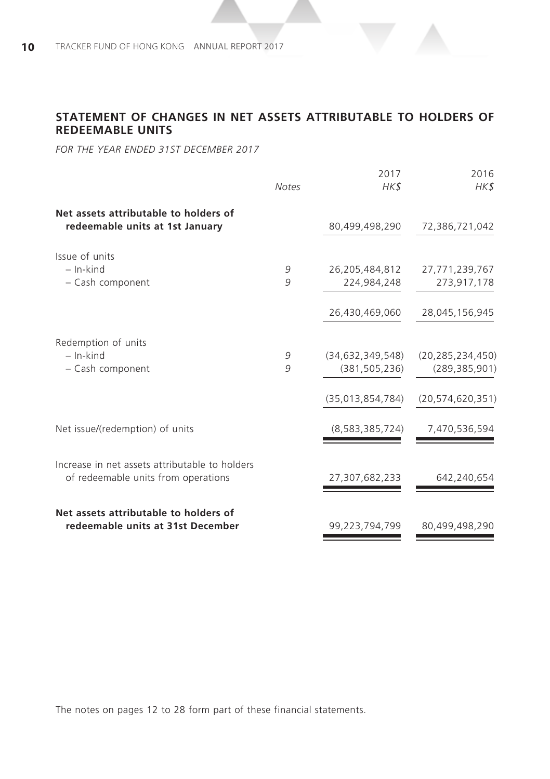# **STATEMENT OF CHANGES IN NET ASSETS ATTRIBUTABLE TO HOLDERS OF REDEEMABLE UNITS**

*FOR THE YEAR ENDED 31ST DECEMBER 2017*

|                                                                          |              | 2017               | 2016                |
|--------------------------------------------------------------------------|--------------|--------------------|---------------------|
|                                                                          | <b>Notes</b> | HK\$               | HK\$                |
| Net assets attributable to holders of<br>redeemable units at 1st January |              | 80,499,498,290     | 72,386,721,042      |
| Issue of units                                                           |              |                    |                     |
| $-$ In-kind                                                              | 9            | 26,205,484,812     | 27,771,239,767      |
| - Cash component                                                         | 9            | 224,984,248        | 273,917,178         |
|                                                                          |              | 26,430,469,060     | 28,045,156,945      |
| Redemption of units                                                      |              |                    |                     |
| $-$ In-kind                                                              | 9            | (34,632,349,548)   | (20, 285, 234, 450) |
| - Cash component                                                         | 9            | (381, 505, 236)    | (289, 385, 901)     |
|                                                                          |              | (35,013,854,784)   | (20, 574, 620, 351) |
| Net issue/(redemption) of units                                          |              | (8, 583, 385, 724) | 7,470,536,594       |
| Increase in net assets attributable to holders                           |              |                    |                     |
| of redeemable units from operations                                      |              | 27,307,682,233     | 642,240,654         |
| Net assets attributable to holders of                                    |              |                    |                     |
| redeemable units at 31st December                                        |              | 99,223,794,799     | 80,499,498,290      |

The notes on pages 12 to 28 form part of these financial statements.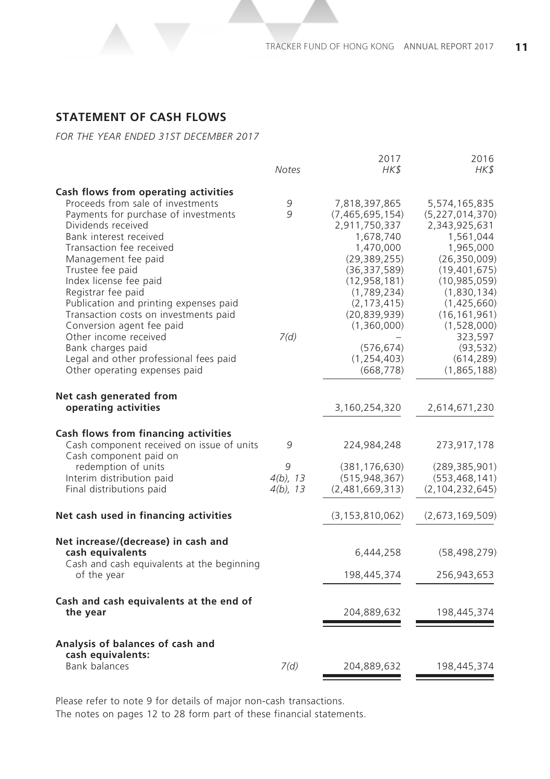# **STATEMENT OF CASH FLOWS**

*FOR THE YEAR ENDED 31ST DECEMBER 2017*

| 9<br>9 | 7,818,397,865<br>(7, 465, 695, 154)<br>2,911,750,337<br>1,678,740<br>1,470,000                                                                                   | 5,574,165,835<br>(5,227,014,370)<br>2,343,925,631<br>1,561,044<br>1,965,000                                                                                            |
|--------|------------------------------------------------------------------------------------------------------------------------------------------------------------------|------------------------------------------------------------------------------------------------------------------------------------------------------------------------|
| 7(d)   | (29, 389, 255)<br>(36, 337, 589)<br>(12, 958, 181)<br>(1,789,234)<br>(2, 173, 415)<br>(20, 839, 939)<br>(1,360,000)<br>(576, 674)<br>(1, 254, 403)<br>(668, 778) | (26, 350, 009)<br>(19, 401, 675)<br>(10, 985, 059)<br>(1,830,134)<br>(1,425,660)<br>(16, 161, 961)<br>(1,528,000)<br>323,597<br>(93, 532)<br>(614, 289)<br>(1,865,188) |
|        | 3,160,254,320                                                                                                                                                    | 2,614,671,230                                                                                                                                                          |
| 9      | 224,984,248                                                                                                                                                      | 273,917,178                                                                                                                                                            |
| 9      | (381, 176, 630)<br>(515, 948, 367)<br>(2,481,669,313)                                                                                                            | (289, 385, 901)<br>(553, 468, 141)<br>(2, 104, 232, 645)                                                                                                               |
|        | (3, 153, 810, 062)                                                                                                                                               | (2,673,169,509)                                                                                                                                                        |
|        | 6,444,258                                                                                                                                                        | (58, 498, 279)                                                                                                                                                         |
|        | 198,445,374                                                                                                                                                      | 256,943,653                                                                                                                                                            |
|        | 204,889,632                                                                                                                                                      | 198,445,374                                                                                                                                                            |
| 7(d)   | 204,889,632                                                                                                                                                      | 198,445,374                                                                                                                                                            |
|        | $4(b)$ , 13<br>$4(b)$ , 13                                                                                                                                       |                                                                                                                                                                        |

Please refer to note 9 for details of major non-cash transactions. The notes on pages 12 to 28 form part of these financial statements.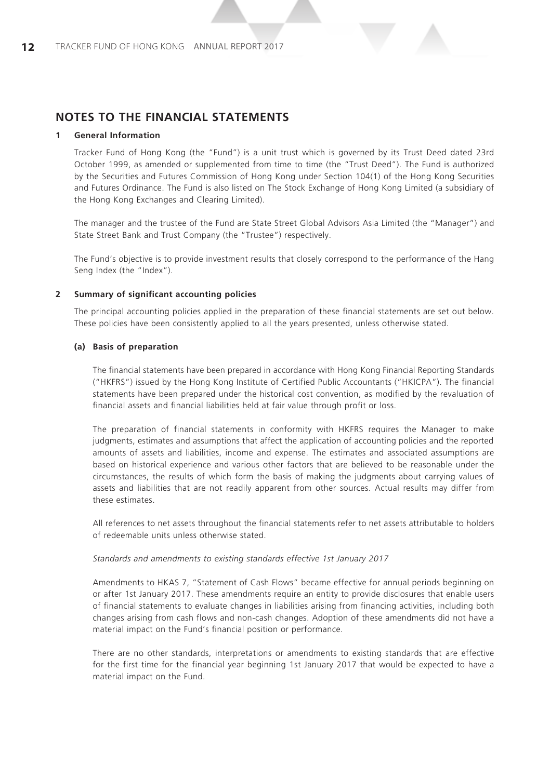# **NOTES TO THE FINANCIAL STATEMENTS**

#### **1 General Information**

Tracker Fund of Hong Kong (the "Fund") is a unit trust which is governed by its Trust Deed dated 23rd October 1999, as amended or supplemented from time to time (the "Trust Deed"). The Fund is authorized by the Securities and Futures Commission of Hong Kong under Section 104(1) of the Hong Kong Securities and Futures Ordinance. The Fund is also listed on The Stock Exchange of Hong Kong Limited (a subsidiary of the Hong Kong Exchanges and Clearing Limited).

The manager and the trustee of the Fund are State Street Global Advisors Asia Limited (the "Manager") and State Street Bank and Trust Company (the "Trustee") respectively.

The Fund's objective is to provide investment results that closely correspond to the performance of the Hang Seng Index (the "Index").

#### **2 Summary of significant accounting policies**

The principal accounting policies applied in the preparation of these financial statements are set out below. These policies have been consistently applied to all the years presented, unless otherwise stated.

#### **(a) Basis of preparation**

The financial statements have been prepared in accordance with Hong Kong Financial Reporting Standards ("HKFRS") issued by the Hong Kong Institute of Certified Public Accountants ("HKICPA"). The financial statements have been prepared under the historical cost convention, as modified by the revaluation of financial assets and financial liabilities held at fair value through profit or loss.

The preparation of financial statements in conformity with HKFRS requires the Manager to make judgments, estimates and assumptions that affect the application of accounting policies and the reported amounts of assets and liabilities, income and expense. The estimates and associated assumptions are based on historical experience and various other factors that are believed to be reasonable under the circumstances, the results of which form the basis of making the judgments about carrying values of assets and liabilities that are not readily apparent from other sources. Actual results may differ from these estimates.

All references to net assets throughout the financial statements refer to net assets attributable to holders of redeemable units unless otherwise stated.

#### *Standards and amendments to existing standards effective 1st January 2017*

Amendments to HKAS 7, "Statement of Cash Flows" became effective for annual periods beginning on or after 1st January 2017. These amendments require an entity to provide disclosures that enable users of financial statements to evaluate changes in liabilities arising from financing activities, including both changes arising from cash flows and non-cash changes. Adoption of these amendments did not have a material impact on the Fund's financial position or performance.

There are no other standards, interpretations or amendments to existing standards that are effective for the first time for the financial year beginning 1st January 2017 that would be expected to have a material impact on the Fund.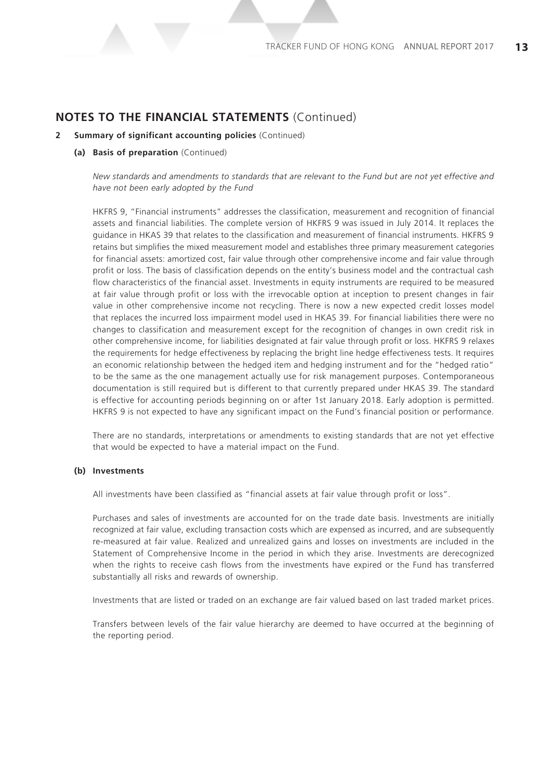#### **2 Summary of significant accounting policies** (Continued)

#### **(a) Basis of preparation** (Continued)

*New standards and amendments to standards that are relevant to the Fund but are not yet effective and have not been early adopted by the Fund*

HKFRS 9, "Financial instruments" addresses the classification, measurement and recognition of financial assets and financial liabilities. The complete version of HKFRS 9 was issued in July 2014. It replaces the guidance in HKAS 39 that relates to the classification and measurement of financial instruments. HKFRS 9 retains but simplifies the mixed measurement model and establishes three primary measurement categories for financial assets: amortized cost, fair value through other comprehensive income and fair value through profit or loss. The basis of classification depends on the entity's business model and the contractual cash flow characteristics of the financial asset. Investments in equity instruments are required to be measured at fair value through profit or loss with the irrevocable option at inception to present changes in fair value in other comprehensive income not recycling. There is now a new expected credit losses model that replaces the incurred loss impairment model used in HKAS 39. For financial liabilities there were no changes to classification and measurement except for the recognition of changes in own credit risk in other comprehensive income, for liabilities designated at fair value through profit or loss. HKFRS 9 relaxes the requirements for hedge effectiveness by replacing the bright line hedge effectiveness tests. It requires an economic relationship between the hedged item and hedging instrument and for the "hedged ratio" to be the same as the one management actually use for risk management purposes. Contemporaneous documentation is still required but is different to that currently prepared under HKAS 39. The standard is effective for accounting periods beginning on or after 1st January 2018. Early adoption is permitted. HKFRS 9 is not expected to have any significant impact on the Fund's financial position or performance.

There are no standards, interpretations or amendments to existing standards that are not yet effective that would be expected to have a material impact on the Fund.

#### **(b) Investments**

All investments have been classified as "financial assets at fair value through profit or loss".

Purchases and sales of investments are accounted for on the trade date basis. Investments are initially recognized at fair value, excluding transaction costs which are expensed as incurred, and are subsequently re-measured at fair value. Realized and unrealized gains and losses on investments are included in the Statement of Comprehensive Income in the period in which they arise. Investments are derecognized when the rights to receive cash flows from the investments have expired or the Fund has transferred substantially all risks and rewards of ownership.

Investments that are listed or traded on an exchange are fair valued based on last traded market prices.

Transfers between levels of the fair value hierarchy are deemed to have occurred at the beginning of the reporting period.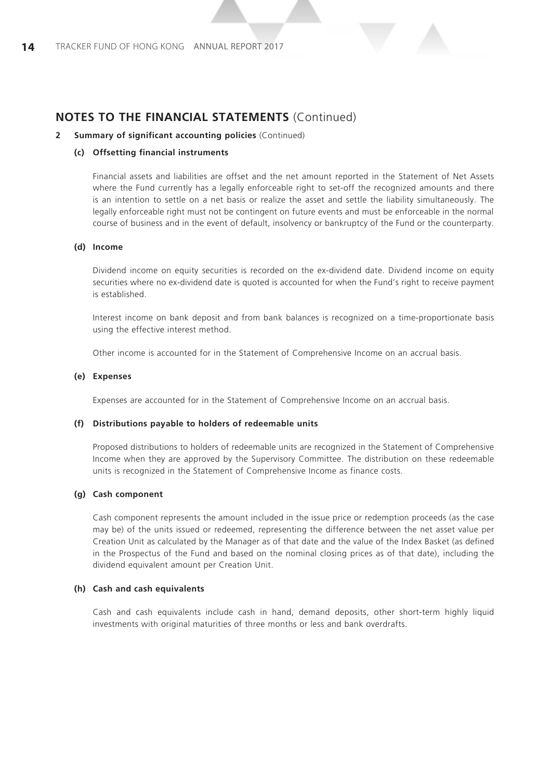#### **2 Summary of significant accounting policies** (Continued)

#### **(c) Offsetting financial instruments**

Financial assets and liabilities are offset and the net amount reported in the Statement of Net Assets where the Fund currently has a legally enforceable right to set-off the recognized amounts and there is an intention to settle on a net basis or realize the asset and settle the liability simultaneously. The legally enforceable right must not be contingent on future events and must be enforceable in the normal course of business and in the event of default, insolvency or bankruptcy of the Fund or the counterparty.

#### **(d) Income**

Dividend income on equity securities is recorded on the ex-dividend date. Dividend income on equity securities where no ex-dividend date is quoted is accounted for when the Fund's right to receive payment is established.

Interest income on bank deposit and from bank balances is recognized on a time-proportionate basis using the effective interest method.

Other income is accounted for in the Statement of Comprehensive Income on an accrual basis.

#### **(e) Expenses**

Expenses are accounted for in the Statement of Comprehensive Income on an accrual basis.

#### **(f) Distributions payable to holders of redeemable units**

Proposed distributions to holders of redeemable units are recognized in the Statement of Comprehensive Income when they are approved by the Supervisory Committee. The distribution on these redeemable units is recognized in the Statement of Comprehensive Income as finance costs.

#### **(g) Cash component**

Cash component represents the amount included in the issue price or redemption proceeds (as the case may be) of the units issued or redeemed, representing the difference between the net asset value per Creation Unit as calculated by the Manager as of that date and the value of the Index Basket (as defined in the Prospectus of the Fund and based on the nominal closing prices as of that date), including the dividend equivalent amount per Creation Unit.

#### **(h) Cash and cash equivalents**

Cash and cash equivalents include cash in hand, demand deposits, other short-term highly liquid investments with original maturities of three months or less and bank overdrafts.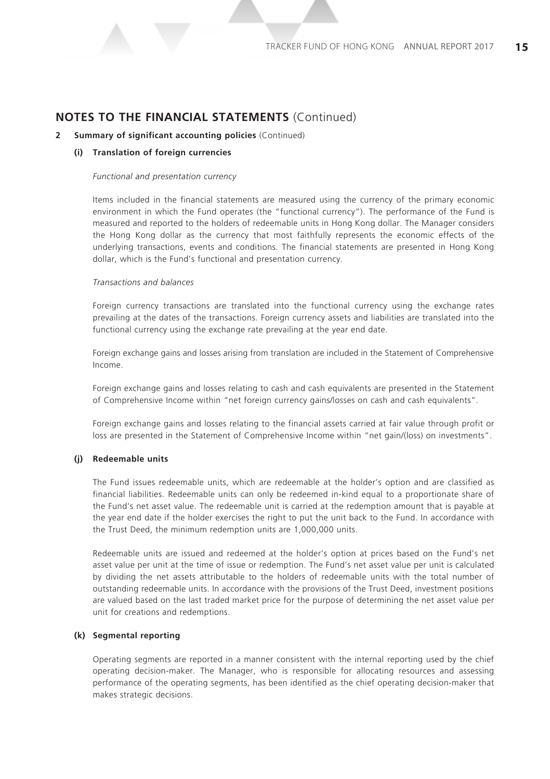#### **2 Summary of significant accounting policies** (Continued)

#### **(i) Translation of foreign currencies**

#### *Functional and presentation currency*

Items included in the financial statements are measured using the currency of the primary economic environment in which the Fund operates (the "functional currency"). The performance of the Fund is measured and reported to the holders of redeemable units in Hong Kong dollar. The Manager considers the Hong Kong dollar as the currency that most faithfully represents the economic effects of the underlying transactions, events and conditions. The financial statements are presented in Hong Kong dollar, which is the Fund's functional and presentation currency.

#### *Transactions and balances*

Foreign currency transactions are translated into the functional currency using the exchange rates prevailing at the dates of the transactions. Foreign currency assets and liabilities are translated into the functional currency using the exchange rate prevailing at the year end date.

Foreign exchange gains and losses arising from translation are included in the Statement of Comprehensive Income.

Foreign exchange gains and losses relating to cash and cash equivalents are presented in the Statement of Comprehensive Income within "net foreign currency gains/losses on cash and cash equivalents".

Foreign exchange gains and losses relating to the financial assets carried at fair value through profit or loss are presented in the Statement of Comprehensive Income within "net gain/(loss) on investments".

#### **(j) Redeemable units**

The Fund issues redeemable units, which are redeemable at the holder's option and are classified as financial liabilities. Redeemable units can only be redeemed in-kind equal to a proportionate share of the Fund's net asset value. The redeemable unit is carried at the redemption amount that is payable at the year end date if the holder exercises the right to put the unit back to the Fund. In accordance with the Trust Deed, the minimum redemption units are 1,000,000 units.

Redeemable units are issued and redeemed at the holder's option at prices based on the Fund's net asset value per unit at the time of issue or redemption. The Fund's net asset value per unit is calculated by dividing the net assets attributable to the holders of redeemable units with the total number of outstanding redeemable units. In accordance with the provisions of the Trust Deed, investment positions are valued based on the last traded market price for the purpose of determining the net asset value per unit for creations and redemptions.

#### **(k) Segmental reporting**

Operating segments are reported in a manner consistent with the internal reporting used by the chief operating decision-maker. The Manager, who is responsible for allocating resources and assessing performance of the operating segments, has been identified as the chief operating decision-maker that makes strategic decisions.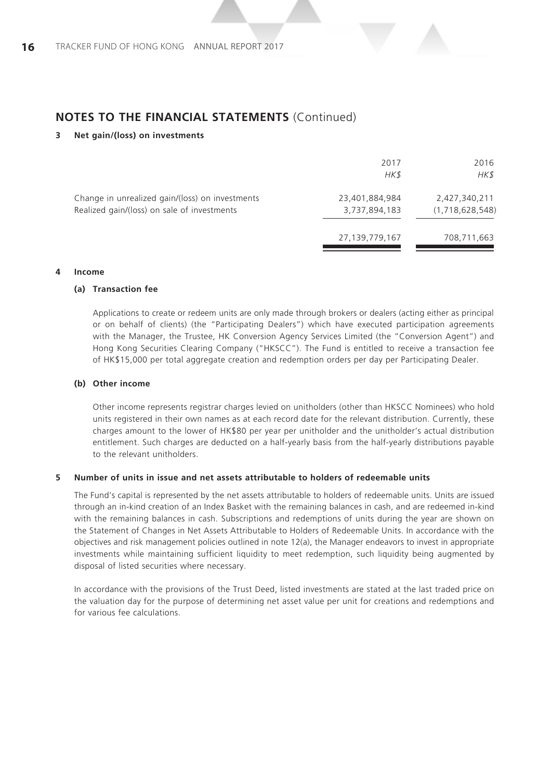#### **3 Net gain/(loss) on investments**

|                                                                                                | 2017<br>HK\$                    | 2016<br>HK\$                     |
|------------------------------------------------------------------------------------------------|---------------------------------|----------------------------------|
| Change in unrealized gain/(loss) on investments<br>Realized gain/(loss) on sale of investments | 23,401,884,984<br>3,737,894,183 | 2,427,340,211<br>(1,718,628,548) |
|                                                                                                | 27,139,779,167                  | 708,711,663                      |

#### **4 Income**

#### **(a) Transaction fee**

Applications to create or redeem units are only made through brokers or dealers (acting either as principal or on behalf of clients) (the "Participating Dealers") which have executed participation agreements with the Manager, the Trustee, HK Conversion Agency Services Limited (the "Conversion Agent") and Hong Kong Securities Clearing Company ("HKSCC"). The Fund is entitled to receive a transaction fee of HK\$15,000 per total aggregate creation and redemption orders per day per Participating Dealer.

#### **(b) Other income**

Other income represents registrar charges levied on unitholders (other than HKSCC Nominees) who hold units registered in their own names as at each record date for the relevant distribution. Currently, these charges amount to the lower of HK\$80 per year per unitholder and the unitholder's actual distribution entitlement. Such charges are deducted on a half-yearly basis from the half-yearly distributions payable to the relevant unitholders.

#### **5 Number of units in issue and net assets attributable to holders of redeemable units**

The Fund's capital is represented by the net assets attributable to holders of redeemable units. Units are issued through an in-kind creation of an Index Basket with the remaining balances in cash, and are redeemed in-kind with the remaining balances in cash. Subscriptions and redemptions of units during the year are shown on the Statement of Changes in Net Assets Attributable to Holders of Redeemable Units. In accordance with the objectives and risk management policies outlined in note 12(a), the Manager endeavors to invest in appropriate investments while maintaining sufficient liquidity to meet redemption, such liquidity being augmented by disposal of listed securities where necessary.

In accordance with the provisions of the Trust Deed, listed investments are stated at the last traded price on the valuation day for the purpose of determining net asset value per unit for creations and redemptions and for various fee calculations.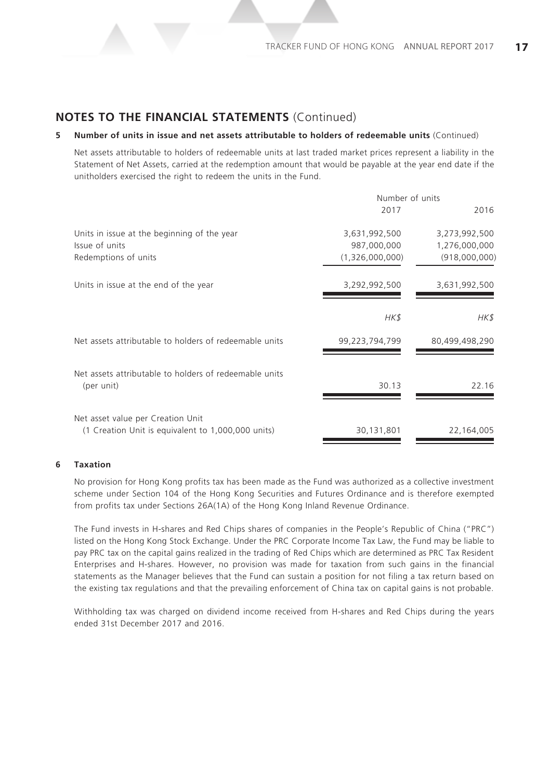#### **5 Number of units in issue and net assets attributable to holders of redeemable units** (Continued)

Net assets attributable to holders of redeemable units at last traded market prices represent a liability in the Statement of Net Assets, carried at the redemption amount that would be payable at the year end date if the unitholders exercised the right to redeem the units in the Fund.

|                                                                                         | Number of units |                |  |
|-----------------------------------------------------------------------------------------|-----------------|----------------|--|
|                                                                                         | 2017            | 2016           |  |
| Units in issue at the beginning of the year                                             | 3,631,992,500   | 3,273,992,500  |  |
| Issue of units                                                                          | 987,000,000     | 1,276,000,000  |  |
| Redemptions of units                                                                    | (1,326,000,000) | (918,000,000)  |  |
| Units in issue at the end of the year                                                   | 3,292,992,500   | 3,631,992,500  |  |
|                                                                                         | HK\$            | HK\$           |  |
| Net assets attributable to holders of redeemable units                                  | 99,223,794,799  | 80,499,498,290 |  |
| Net assets attributable to holders of redeemable units<br>(per unit)                    | 30.13           | 22.16          |  |
| Net asset value per Creation Unit<br>(1 Creation Unit is equivalent to 1,000,000 units) | 30,131,801      | 22,164,005     |  |

#### **6 Taxation**

No provision for Hong Kong profits tax has been made as the Fund was authorized as a collective investment scheme under Section 104 of the Hong Kong Securities and Futures Ordinance and is therefore exempted from profits tax under Sections 26A(1A) of the Hong Kong Inland Revenue Ordinance.

The Fund invests in H-shares and Red Chips shares of companies in the People's Republic of China ("PRC") listed on the Hong Kong Stock Exchange. Under the PRC Corporate Income Tax Law, the Fund may be liable to pay PRC tax on the capital gains realized in the trading of Red Chips which are determined as PRC Tax Resident Enterprises and H-shares. However, no provision was made for taxation from such gains in the financial statements as the Manager believes that the Fund can sustain a position for not filing a tax return based on the existing tax regulations and that the prevailing enforcement of China tax on capital gains is not probable.

Withholding tax was charged on dividend income received from H-shares and Red Chips during the years ended 31st December 2017 and 2016.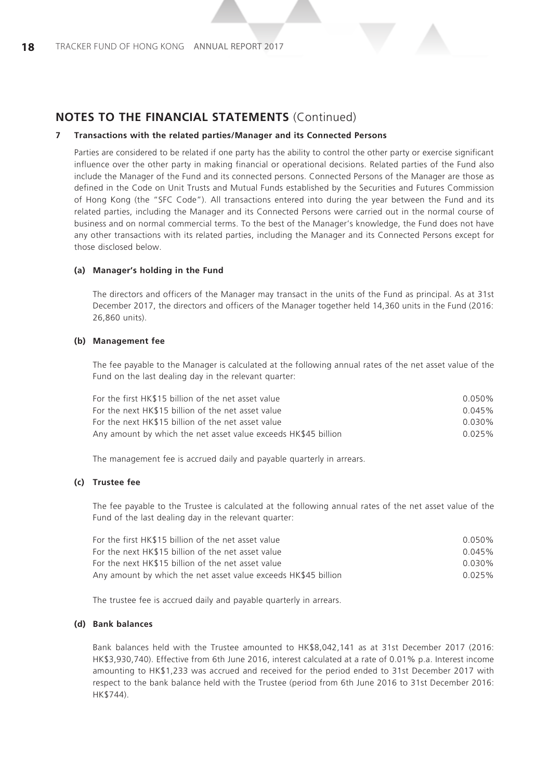#### **7 Transactions with the related parties/Manager and its Connected Persons**

Parties are considered to be related if one party has the ability to control the other party or exercise significant influence over the other party in making financial or operational decisions. Related parties of the Fund also include the Manager of the Fund and its connected persons. Connected Persons of the Manager are those as defined in the Code on Unit Trusts and Mutual Funds established by the Securities and Futures Commission of Hong Kong (the "SFC Code"). All transactions entered into during the year between the Fund and its related parties, including the Manager and its Connected Persons were carried out in the normal course of business and on normal commercial terms. To the best of the Manager's knowledge, the Fund does not have any other transactions with its related parties, including the Manager and its Connected Persons except for those disclosed below.

#### **(a) Manager's holding in the Fund**

The directors and officers of the Manager may transact in the units of the Fund as principal. As at 31st December 2017, the directors and officers of the Manager together held 14,360 units in the Fund (2016: 26,860 units).

#### **(b) Management fee**

The fee payable to the Manager is calculated at the following annual rates of the net asset value of the Fund on the last dealing day in the relevant quarter:

| For the first HK\$15 billion of the net asset value            | 0.050%    |
|----------------------------------------------------------------|-----------|
| For the next HK\$15 billion of the net asset value             | $0.045\%$ |
| For the next HK\$15 billion of the net asset value             | 0.030%    |
| Any amount by which the net asset value exceeds HK\$45 billion | 0.025%    |

The management fee is accrued daily and payable quarterly in arrears.

#### **(c) Trustee fee**

The fee payable to the Trustee is calculated at the following annual rates of the net asset value of the Fund of the last dealing day in the relevant quarter:

| For the first HK\$15 billion of the net asset value            | 0.050%    |
|----------------------------------------------------------------|-----------|
| For the next HK\$15 billion of the net asset value             | $0.045\%$ |
| For the next HK\$15 billion of the net asset value             | $0.030\%$ |
| Any amount by which the net asset value exceeds HK\$45 billion | 0.025%    |

The trustee fee is accrued daily and payable quarterly in arrears.

#### **(d) Bank balances**

Bank balances held with the Trustee amounted to HK\$8,042,141 as at 31st December 2017 (2016: HK\$3,930,740). Effective from 6th June 2016, interest calculated at a rate of 0.01% p.a. Interest income amounting to HK\$1,233 was accrued and received for the period ended to 31st December 2017 with respect to the bank balance held with the Trustee (period from 6th June 2016 to 31st December 2016: HK\$744).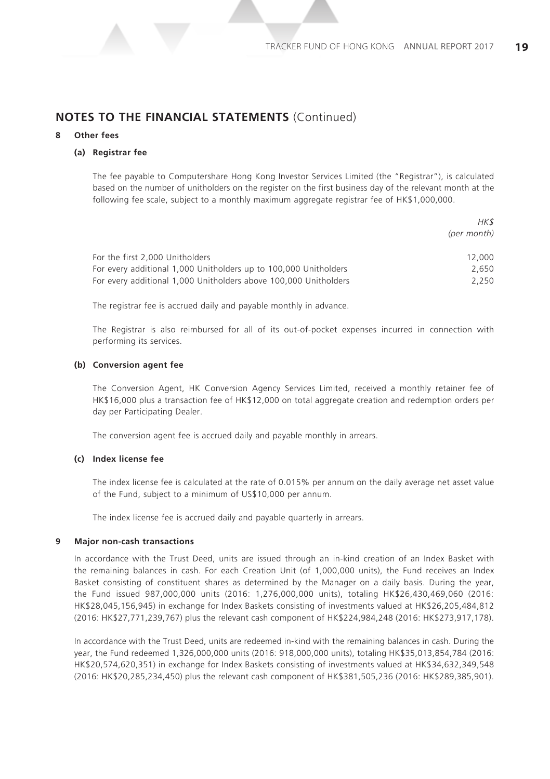#### **8 Other fees**

#### **(a) Registrar fee**

The fee payable to Computershare Hong Kong Investor Services Limited (the "Registrar"), is calculated based on the number of unitholders on the register on the first business day of the relevant month at the following fee scale, subject to a monthly maximum aggregate registrar fee of HK\$1,000,000.

|                                                                  | HK\$        |
|------------------------------------------------------------------|-------------|
|                                                                  | (per month) |
|                                                                  |             |
| For the first 2,000 Unitholders                                  | 12,000      |
| For every additional 1,000 Unitholders up to 100,000 Unitholders | 2.650       |
| For every additional 1,000 Unitholders above 100,000 Unitholders | 2.250       |

The registrar fee is accrued daily and payable monthly in advance.

The Registrar is also reimbursed for all of its out-of-pocket expenses incurred in connection with performing its services.

#### **(b) Conversion agent fee**

The Conversion Agent, HK Conversion Agency Services Limited, received a monthly retainer fee of HK\$16,000 plus a transaction fee of HK\$12,000 on total aggregate creation and redemption orders per day per Participating Dealer.

The conversion agent fee is accrued daily and payable monthly in arrears.

#### **(c) Index license fee**

The index license fee is calculated at the rate of 0.015% per annum on the daily average net asset value of the Fund, subject to a minimum of US\$10,000 per annum.

The index license fee is accrued daily and payable quarterly in arrears.

#### **9 Major non-cash transactions**

In accordance with the Trust Deed, units are issued through an in-kind creation of an Index Basket with the remaining balances in cash. For each Creation Unit (of 1,000,000 units), the Fund receives an Index Basket consisting of constituent shares as determined by the Manager on a daily basis. During the year, the Fund issued 987,000,000 units (2016: 1,276,000,000 units), totaling HK\$26,430,469,060 (2016: HK\$28,045,156,945) in exchange for Index Baskets consisting of investments valued at HK\$26,205,484,812 (2016: HK\$27,771,239,767) plus the relevant cash component of HK\$224,984,248 (2016: HK\$273,917,178).

In accordance with the Trust Deed, units are redeemed in-kind with the remaining balances in cash. During the year, the Fund redeemed 1,326,000,000 units (2016: 918,000,000 units), totaling HK\$35,013,854,784 (2016: HK\$20,574,620,351) in exchange for Index Baskets consisting of investments valued at HK\$34,632,349,548 (2016: HK\$20,285,234,450) plus the relevant cash component of HK\$381,505,236 (2016: HK\$289,385,901).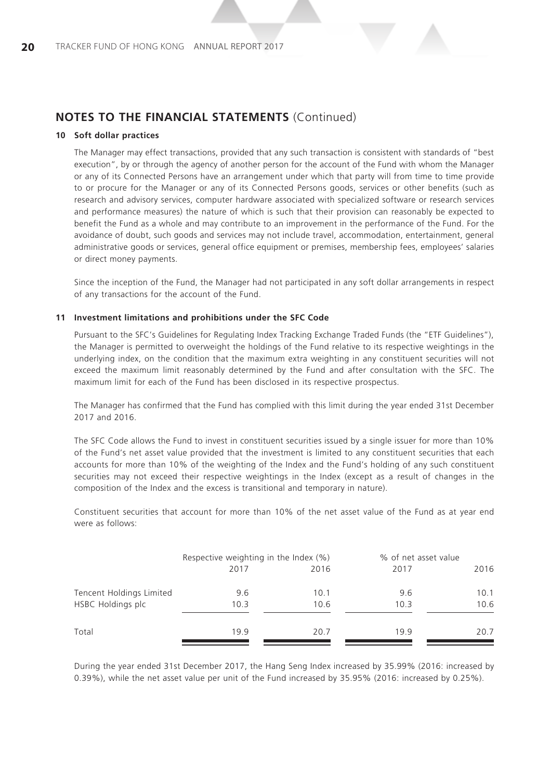#### **10 Soft dollar practices**

The Manager may effect transactions, provided that any such transaction is consistent with standards of "best execution", by or through the agency of another person for the account of the Fund with whom the Manager or any of its Connected Persons have an arrangement under which that party will from time to time provide to or procure for the Manager or any of its Connected Persons goods, services or other benefits (such as research and advisory services, computer hardware associated with specialized software or research services and performance measures) the nature of which is such that their provision can reasonably be expected to benefit the Fund as a whole and may contribute to an improvement in the performance of the Fund. For the avoidance of doubt, such goods and services may not include travel, accommodation, entertainment, general administrative goods or services, general office equipment or premises, membership fees, employees' salaries or direct money payments.

Since the inception of the Fund, the Manager had not participated in any soft dollar arrangements in respect of any transactions for the account of the Fund.

#### **11 Investment limitations and prohibitions under the SFC Code**

Pursuant to the SFC's Guidelines for Regulating Index Tracking Exchange Traded Funds (the "ETF Guidelines"), the Manager is permitted to overweight the holdings of the Fund relative to its respective weightings in the underlying index, on the condition that the maximum extra weighting in any constituent securities will not exceed the maximum limit reasonably determined by the Fund and after consultation with the SFC. The maximum limit for each of the Fund has been disclosed in its respective prospectus.

The Manager has confirmed that the Fund has complied with this limit during the year ended 31st December 2017 and 2016.

The SFC Code allows the Fund to invest in constituent securities issued by a single issuer for more than 10% of the Fund's net asset value provided that the investment is limited to any constituent securities that each accounts for more than 10% of the weighting of the Index and the Fund's holding of any such constituent securities may not exceed their respective weightings in the Index (except as a result of changes in the composition of the Index and the excess is transitional and temporary in nature).

Constituent securities that account for more than 10% of the net asset value of the Fund as at year end were as follows:

|                          | Respective weighting in the Index (%) |      | % of net asset value |      |
|--------------------------|---------------------------------------|------|----------------------|------|
|                          | 2017                                  | 2016 | 2017                 | 2016 |
| Tencent Holdings Limited | 9.6                                   | 10.1 | 9.6                  | 10.1 |
| HSBC Holdings plc        | 10.3                                  | 10.6 | 10.3                 | 10.6 |
| Total                    | 19.9                                  | 20.7 | 19.9                 | 20.7 |

During the year ended 31st December 2017, the Hang Seng Index increased by 35.99% (2016: increased by 0.39%), while the net asset value per unit of the Fund increased by 35.95% (2016: increased by 0.25%).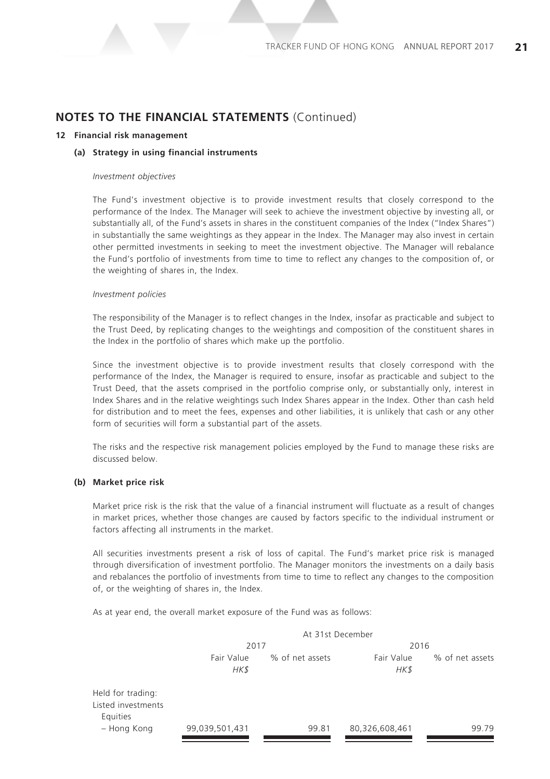#### **12 Financial risk management**

#### **(a) Strategy in using financial instruments**

#### *Investment objectives*

The Fund's investment objective is to provide investment results that closely correspond to the performance of the Index. The Manager will seek to achieve the investment objective by investing all, or substantially all, of the Fund's assets in shares in the constituent companies of the Index ("Index Shares") in substantially the same weightings as they appear in the Index. The Manager may also invest in certain other permitted investments in seeking to meet the investment objective. The Manager will rebalance the Fund's portfolio of investments from time to time to reflect any changes to the composition of, or the weighting of shares in, the Index.

#### *Investment policies*

The responsibility of the Manager is to reflect changes in the Index, insofar as practicable and subject to the Trust Deed, by replicating changes to the weightings and composition of the constituent shares in the Index in the portfolio of shares which make up the portfolio.

Since the investment objective is to provide investment results that closely correspond with the performance of the Index, the Manager is required to ensure, insofar as practicable and subject to the Trust Deed, that the assets comprised in the portfolio comprise only, or substantially only, interest in Index Shares and in the relative weightings such Index Shares appear in the Index. Other than cash held for distribution and to meet the fees, expenses and other liabilities, it is unlikely that cash or any other form of securities will form a substantial part of the assets.

The risks and the respective risk management policies employed by the Fund to manage these risks are discussed below.

#### **(b) Market price risk**

Market price risk is the risk that the value of a financial instrument will fluctuate as a result of changes in market prices, whether those changes are caused by factors specific to the individual instrument or factors affecting all instruments in the market.

All securities investments present a risk of loss of capital. The Fund's market price risk is managed through diversification of investment portfolio. The Manager monitors the investments on a daily basis and rebalances the portfolio of investments from time to time to reflect any changes to the composition of, or the weighting of shares in, the Index.

As at year end, the overall market exposure of the Fund was as follows:

|                                                     |                    | At 31st December |                    |                 |
|-----------------------------------------------------|--------------------|------------------|--------------------|-----------------|
|                                                     | 2017               |                  | 2016               |                 |
|                                                     | Fair Value<br>HK\$ | % of net assets  | Fair Value<br>HK\$ | % of net assets |
| Held for trading:<br>Listed investments<br>Equities |                    |                  |                    |                 |
| - Hong Kong                                         | 99,039,501,431     | 99.81            | 80,326,608,461     | 99.79           |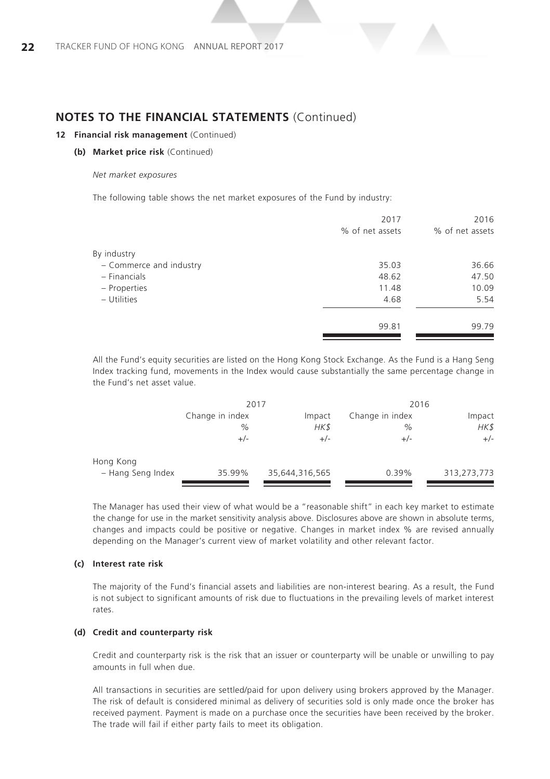#### **12 Financial risk management** (Continued)

**(b) Market price risk** (Continued)

#### *Net market exposures*

The following table shows the net market exposures of the Fund by industry:

|                         | 2017            | 2016            |
|-------------------------|-----------------|-----------------|
|                         | % of net assets | % of net assets |
| By industry             |                 |                 |
| - Commerce and industry | 35.03           | 36.66           |
| - Financials            | 48.62           | 47.50           |
| - Properties            | 11.48           | 10.09           |
| - Utilities             | 4.68            | 5.54            |
|                         | 99.81           | 99.79           |
|                         |                 |                 |

All the Fund's equity securities are listed on the Hong Kong Stock Exchange. As the Fund is a Hang Seng Index tracking fund, movements in the Index would cause substantially the same percentage change in the Fund's net asset value.

|                                | 2017                             |                         | 2016                    |                         |
|--------------------------------|----------------------------------|-------------------------|-------------------------|-------------------------|
|                                | Change in index<br>$\%$<br>$+/-$ | Impact<br>HK\$          | Change in index<br>$\%$ | Impact<br>HK\$<br>$+/-$ |
| Hong Kong<br>- Hang Seng Index | 35.99%                           | $+/-$<br>35,644,316,565 | $+/-$<br>0.39%          | 313,273,773             |

The Manager has used their view of what would be a "reasonable shift" in each key market to estimate the change for use in the market sensitivity analysis above. Disclosures above are shown in absolute terms, changes and impacts could be positive or negative. Changes in market index % are revised annually depending on the Manager's current view of market volatility and other relevant factor.

#### **(c) Interest rate risk**

The majority of the Fund's financial assets and liabilities are non-interest bearing. As a result, the Fund is not subject to significant amounts of risk due to fluctuations in the prevailing levels of market interest rates.

#### **(d) Credit and counterparty risk**

Credit and counterparty risk is the risk that an issuer or counterparty will be unable or unwilling to pay amounts in full when due.

All transactions in securities are settled/paid for upon delivery using brokers approved by the Manager. The risk of default is considered minimal as delivery of securities sold is only made once the broker has received payment. Payment is made on a purchase once the securities have been received by the broker. The trade will fail if either party fails to meet its obligation.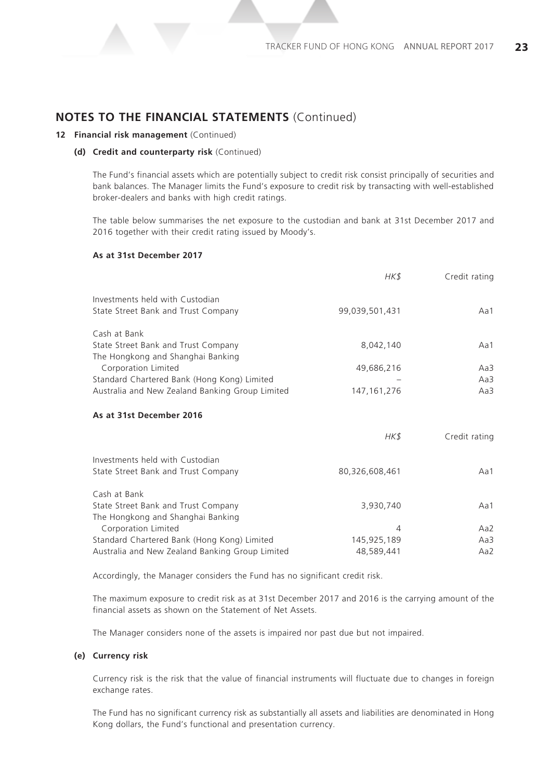#### **12 Financial risk management** (Continued)

#### **(d) Credit and counterparty risk** (Continued)

The Fund's financial assets which are potentially subject to credit risk consist principally of securities and bank balances. The Manager limits the Fund's exposure to credit risk by transacting with well-established broker-dealers and banks with high credit ratings.

The table below summarises the net exposure to the custodian and bank at 31st December 2017 and 2016 together with their credit rating issued by Moody's.

#### **As at 31st December 2017**

|                                                 | HK\$           | Credit rating |
|-------------------------------------------------|----------------|---------------|
| Investments held with Custodian                 |                |               |
| State Street Bank and Trust Company             | 99,039,501,431 | Aa1           |
| Cash at Bank                                    |                |               |
| State Street Bank and Trust Company             | 8.042.140      | Aa1           |
| The Hongkong and Shanghai Banking               |                |               |
| Corporation Limited                             | 49,686,216     | Aa3           |
| Standard Chartered Bank (Hong Kong) Limited     |                | Aa3           |
| Australia and New Zealand Banking Group Limited | 147, 161, 276  | Aa3           |
|                                                 |                |               |

#### **As at 31st December 2016**

| HK\$                      | Credit rating  |
|---------------------------|----------------|
|                           | Aa1            |
|                           |                |
| 3,930,740                 | Aa1            |
| 4                         | Aa2            |
| 145,925,189<br>48,589,441 | Aa3<br>Aa2     |
|                           | 80,326,608,461 |

Accordingly, the Manager considers the Fund has no significant credit risk.

The maximum exposure to credit risk as at 31st December 2017 and 2016 is the carrying amount of the financial assets as shown on the Statement of Net Assets.

The Manager considers none of the assets is impaired nor past due but not impaired.

#### **(e) Currency risk**

Currency risk is the risk that the value of financial instruments will fluctuate due to changes in foreign exchange rates.

The Fund has no significant currency risk as substantially all assets and liabilities are denominated in Hong Kong dollars, the Fund's functional and presentation currency.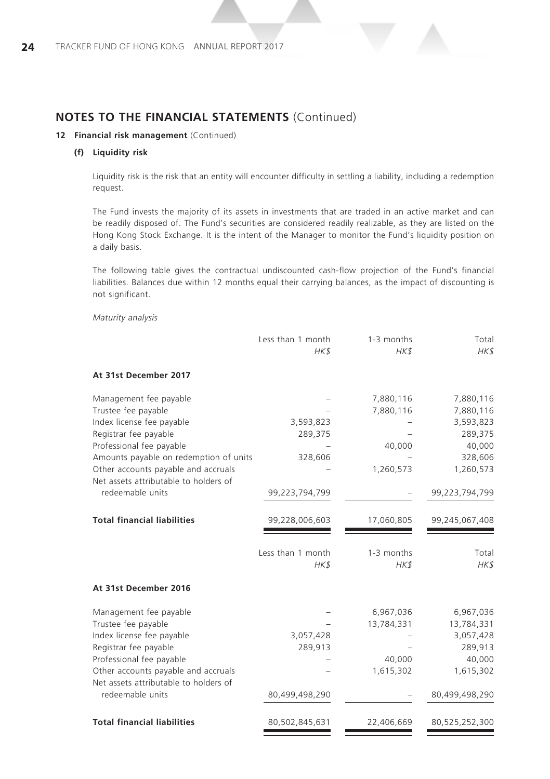#### **12 Financial risk management** (Continued)

#### **(f) Liquidity risk**

Liquidity risk is the risk that an entity will encounter difficulty in settling a liability, including a redemption request.

The Fund invests the majority of its assets in investments that are traded in an active market and can be readily disposed of. The Fund's securities are considered readily realizable, as they are listed on the Hong Kong Stock Exchange. It is the intent of the Manager to monitor the Fund's liquidity position on a daily basis.

The following table gives the contractual undiscounted cash-flow projection of the Fund's financial liabilities. Balances due within 12 months equal their carrying balances, as the impact of discounting is not significant.

#### *Maturity analysis*

|                                                                                                                                                                                                                                                           | Less than 1 month<br>HK\$              | 1-3 months<br>HK\$                             | Total<br>HK\$                                                                            |
|-----------------------------------------------------------------------------------------------------------------------------------------------------------------------------------------------------------------------------------------------------------|----------------------------------------|------------------------------------------------|------------------------------------------------------------------------------------------|
| At 31st December 2017                                                                                                                                                                                                                                     |                                        |                                                |                                                                                          |
| Management fee payable<br>Trustee fee payable<br>Index license fee payable<br>Registrar fee payable<br>Professional fee payable<br>Amounts payable on redemption of units<br>Other accounts payable and accruals<br>Net assets attributable to holders of | 3,593,823<br>289,375<br>328,606        | 7,880,116<br>7,880,116<br>40,000<br>1,260,573  | 7,880,116<br>7,880,116<br>3,593,823<br>289,375<br>40,000<br>328,606<br>1,260,573         |
| redeemable units                                                                                                                                                                                                                                          | 99,223,794,799                         |                                                | 99,223,794,799                                                                           |
| <b>Total financial liabilities</b>                                                                                                                                                                                                                        | 99,228,006,603                         | 17,060,805                                     | 99,245,067,408                                                                           |
|                                                                                                                                                                                                                                                           |                                        |                                                |                                                                                          |
|                                                                                                                                                                                                                                                           | Less than 1 month<br>HK\$              | 1-3 months<br>HK\$                             | Total<br>HK\$                                                                            |
| At 31st December 2016                                                                                                                                                                                                                                     |                                        |                                                |                                                                                          |
| Management fee payable<br>Trustee fee payable<br>Index license fee payable<br>Registrar fee payable<br>Professional fee payable<br>Other accounts payable and accruals<br>Net assets attributable to holders of<br>redeemable units                       | 3,057,428<br>289,913<br>80,499,498,290 | 6,967,036<br>13,784,331<br>40,000<br>1,615,302 | 6,967,036<br>13,784,331<br>3,057,428<br>289,913<br>40,000<br>1,615,302<br>80,499,498,290 |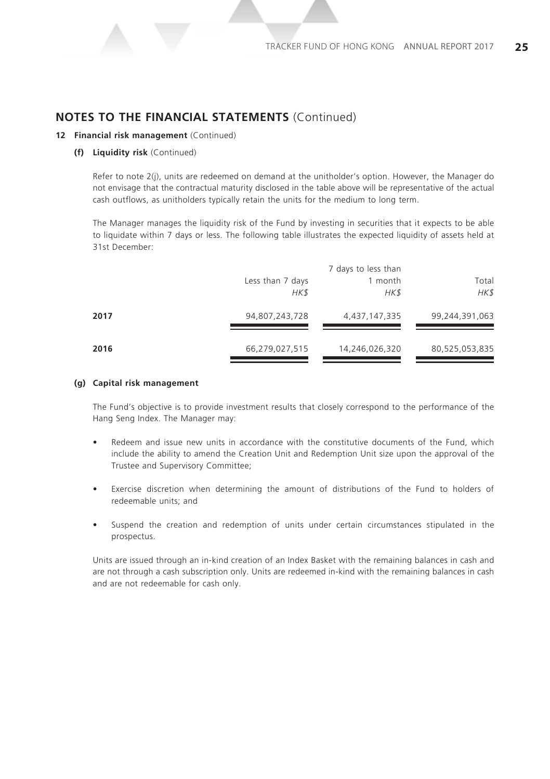#### **12 Financial risk management** (Continued)

#### **(f) Liquidity risk** (Continued)

Refer to note 2(j), units are redeemed on demand at the unitholder's option. However, the Manager do not envisage that the contractual maturity disclosed in the table above will be representative of the actual cash outflows, as unitholders typically retain the units for the medium to long term.

The Manager manages the liquidity risk of the Fund by investing in securities that it expects to be able to liquidate within 7 days or less. The following table illustrates the expected liquidity of assets held at 31st December:

|      | Less than 7 days<br>HK\$ | 7 days to less than<br>1 month<br>HK\$ | Total<br>HK\$  |
|------|--------------------------|----------------------------------------|----------------|
| 2017 | 94,807,243,728           | 4,437,147,335                          | 99,244,391,063 |
| 2016 | 66,279,027,515           | 14,246,026,320                         | 80,525,053,835 |

#### **(g) Capital risk management**

The Fund's objective is to provide investment results that closely correspond to the performance of the Hang Seng Index. The Manager may:

- Redeem and issue new units in accordance with the constitutive documents of the Fund, which include the ability to amend the Creation Unit and Redemption Unit size upon the approval of the Trustee and Supervisory Committee;
- Exercise discretion when determining the amount of distributions of the Fund to holders of redeemable units; and
- Suspend the creation and redemption of units under certain circumstances stipulated in the prospectus.

Units are issued through an in-kind creation of an Index Basket with the remaining balances in cash and are not through a cash subscription only. Units are redeemed in-kind with the remaining balances in cash and are not redeemable for cash only.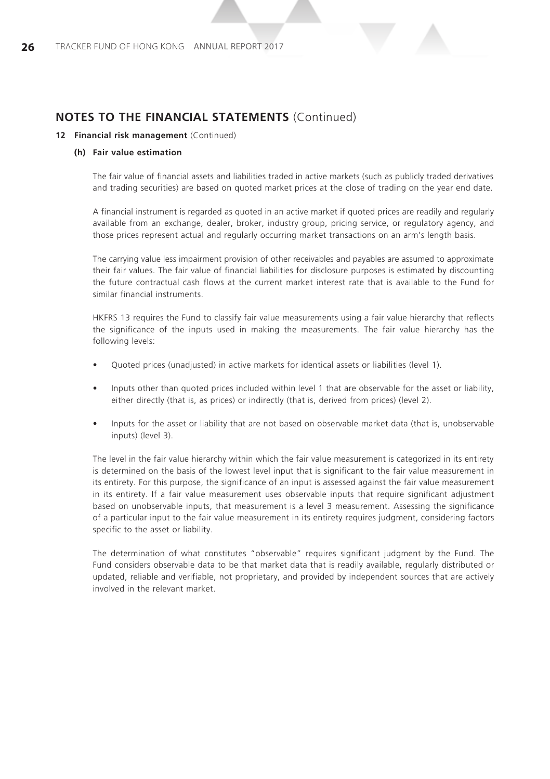#### **12 Financial risk management** (Continued)

#### **(h) Fair value estimation**

The fair value of financial assets and liabilities traded in active markets (such as publicly traded derivatives and trading securities) are based on quoted market prices at the close of trading on the year end date.

A financial instrument is regarded as quoted in an active market if quoted prices are readily and regularly available from an exchange, dealer, broker, industry group, pricing service, or regulatory agency, and those prices represent actual and regularly occurring market transactions on an arm's length basis.

The carrying value less impairment provision of other receivables and payables are assumed to approximate their fair values. The fair value of financial liabilities for disclosure purposes is estimated by discounting the future contractual cash flows at the current market interest rate that is available to the Fund for similar financial instruments.

HKFRS 13 requires the Fund to classify fair value measurements using a fair value hierarchy that reflects the significance of the inputs used in making the measurements. The fair value hierarchy has the following levels:

- Quoted prices (unadjusted) in active markets for identical assets or liabilities (level 1).
- Inputs other than quoted prices included within level 1 that are observable for the asset or liability, either directly (that is, as prices) or indirectly (that is, derived from prices) (level 2).
- Inputs for the asset or liability that are not based on observable market data (that is, unobservable inputs) (level 3).

The level in the fair value hierarchy within which the fair value measurement is categorized in its entirety is determined on the basis of the lowest level input that is significant to the fair value measurement in its entirety. For this purpose, the significance of an input is assessed against the fair value measurement in its entirety. If a fair value measurement uses observable inputs that require significant adjustment based on unobservable inputs, that measurement is a level 3 measurement. Assessing the significance of a particular input to the fair value measurement in its entirety requires judgment, considering factors specific to the asset or liability.

The determination of what constitutes "observable" requires significant judgment by the Fund. The Fund considers observable data to be that market data that is readily available, regularly distributed or updated, reliable and verifiable, not proprietary, and provided by independent sources that are actively involved in the relevant market.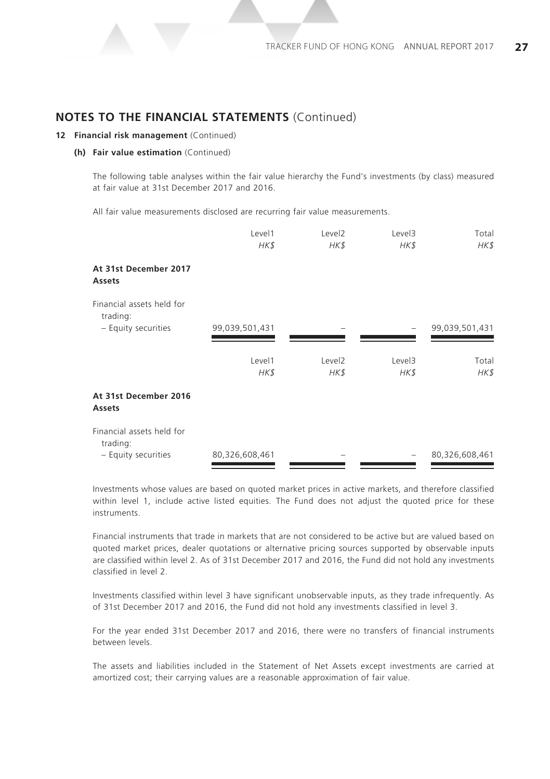#### **12 Financial risk management** (Continued)

#### **(h) Fair value estimation** (Continued)

The following table analyses within the fair value hierarchy the Fund's investments (by class) measured at fair value at 31st December 2017 and 2016.

All fair value measurements disclosed are recurring fair value measurements.

|                                       | Level1<br>HK\$ | Level <sub>2</sub><br>HK\$ | Level3<br>HK\$ | Total<br>HK\$  |
|---------------------------------------|----------------|----------------------------|----------------|----------------|
| At 31st December 2017<br>Assets       |                |                            |                |                |
| Financial assets held for<br>trading: |                |                            |                |                |
| - Equity securities                   | 99,039,501,431 |                            |                | 99,039,501,431 |
|                                       | Level1<br>HK\$ | Level <sub>2</sub><br>HK\$ | Level3<br>HK\$ | Total<br>HK\$  |
| At 31st December 2016<br>Assets       |                |                            |                |                |
| Financial assets held for<br>trading: |                |                            |                |                |
| - Equity securities                   | 80,326,608,461 |                            |                | 80,326,608,461 |

Investments whose values are based on quoted market prices in active markets, and therefore classified within level 1, include active listed equities. The Fund does not adjust the quoted price for these instruments.

Financial instruments that trade in markets that are not considered to be active but are valued based on quoted market prices, dealer quotations or alternative pricing sources supported by observable inputs are classified within level 2. As of 31st December 2017 and 2016, the Fund did not hold any investments classified in level 2.

Investments classified within level 3 have significant unobservable inputs, as they trade infrequently. As of 31st December 2017 and 2016, the Fund did not hold any investments classified in level 3.

For the year ended 31st December 2017 and 2016, there were no transfers of financial instruments between levels.

The assets and liabilities included in the Statement of Net Assets except investments are carried at amortized cost; their carrying values are a reasonable approximation of fair value.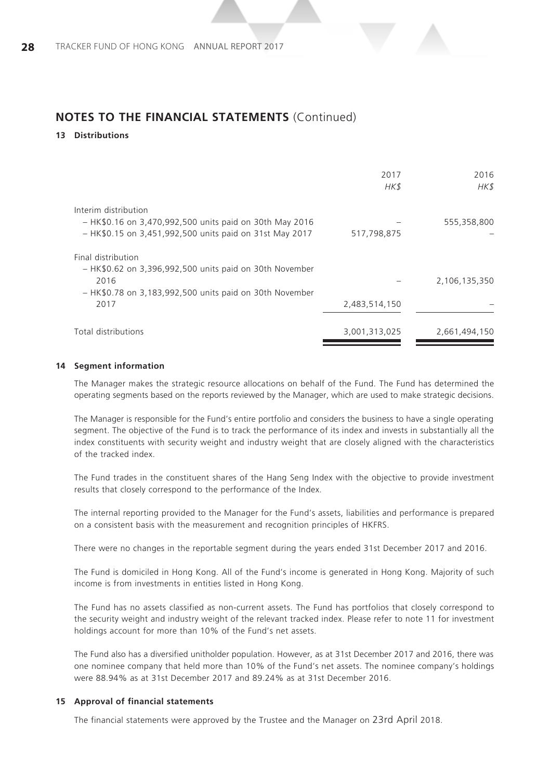#### **13 Distributions**

|                                                                                 | 2017<br>HK\$  | 2016<br>HK\$  |
|---------------------------------------------------------------------------------|---------------|---------------|
| Interim distribution<br>- HK\$0.16 on 3,470,992,500 units paid on 30th May 2016 |               | 555,358,800   |
| - HK\$0.15 on 3,451,992,500 units paid on 31st May 2017                         | 517,798,875   |               |
| Final distribution<br>$-$ HK\$0.62 on 3,396,992,500 units paid on 30th November |               |               |
| 2016<br>$-$ HK\$0.78 on 3,183,992,500 units paid on 30th November               |               | 2,106,135,350 |
| 2017                                                                            | 2,483,514,150 |               |
| Total distributions                                                             | 3,001,313,025 | 2,661,494,150 |

#### **14 Segment information**

The Manager makes the strategic resource allocations on behalf of the Fund. The Fund has determined the operating segments based on the reports reviewed by the Manager, which are used to make strategic decisions.

The Manager is responsible for the Fund's entire portfolio and considers the business to have a single operating segment. The objective of the Fund is to track the performance of its index and invests in substantially all the index constituents with security weight and industry weight that are closely aligned with the characteristics of the tracked index.

The Fund trades in the constituent shares of the Hang Seng Index with the objective to provide investment results that closely correspond to the performance of the Index.

The internal reporting provided to the Manager for the Fund's assets, liabilities and performance is prepared on a consistent basis with the measurement and recognition principles of HKFRS.

There were no changes in the reportable segment during the years ended 31st December 2017 and 2016.

The Fund is domiciled in Hong Kong. All of the Fund's income is generated in Hong Kong. Majority of such income is from investments in entities listed in Hong Kong.

The Fund has no assets classified as non-current assets. The Fund has portfolios that closely correspond to the security weight and industry weight of the relevant tracked index. Please refer to note 11 for investment holdings account for more than 10% of the Fund's net assets.

The Fund also has a diversified unitholder population. However, as at 31st December 2017 and 2016, there was one nominee company that held more than 10% of the Fund's net assets. The nominee company's holdings were 88.94% as at 31st December 2017 and 89.24% as at 31st December 2016.

#### **15 Approval of financial statements**

The financial statements were approved by the Trustee and the Manager on 23rd April 2018.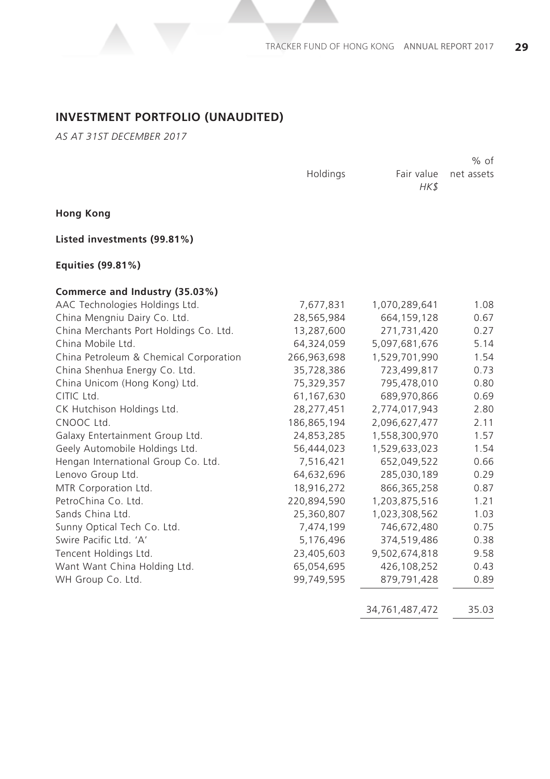34,761,487,472 35.03

# **INVESTMENT PORTFOLIO (UNAUDITED)**

*AS AT 31ST DECEMBER 2017*

|                                        |             |               | % of       |
|----------------------------------------|-------------|---------------|------------|
|                                        | Holdings    | Fair value    | net assets |
|                                        |             | HK\$          |            |
| <b>Hong Kong</b>                       |             |               |            |
| Listed investments (99.81%)            |             |               |            |
| Equities (99.81%)                      |             |               |            |
| Commerce and Industry (35.03%)         |             |               |            |
| AAC Technologies Holdings Ltd.         | 7,677,831   | 1,070,289,641 | 1.08       |
| China Mengniu Dairy Co. Ltd.           | 28,565,984  | 664, 159, 128 | 0.67       |
| China Merchants Port Holdings Co. Ltd. | 13,287,600  | 271,731,420   | 0.27       |
| China Mobile Ltd.                      | 64,324,059  | 5,097,681,676 | 5.14       |
| China Petroleum & Chemical Corporation | 266,963,698 | 1,529,701,990 | 1.54       |
| China Shenhua Energy Co. Ltd.          | 35,728,386  | 723,499,817   | 0.73       |
| China Unicom (Hong Kong) Ltd.          | 75,329,357  | 795,478,010   | 0.80       |
| CITIC Ltd.                             | 61,167,630  | 689,970,866   | 0.69       |
| CK Hutchison Holdings Ltd.             | 28,277,451  | 2,774,017,943 | 2.80       |
| CNOOC Ltd.                             | 186,865,194 | 2,096,627,477 | 2.11       |
| Galaxy Entertainment Group Ltd.        | 24,853,285  | 1,558,300,970 | 1.57       |
| Geely Automobile Holdings Ltd.         | 56,444,023  | 1,529,633,023 | 1.54       |
| Hengan International Group Co. Ltd.    | 7,516,421   | 652,049,522   | 0.66       |
| Lenovo Group Ltd.                      | 64,632,696  | 285,030,189   | 0.29       |
| MTR Corporation Ltd.                   | 18,916,272  | 866,365,258   | 0.87       |
| PetroChina Co. Ltd.                    | 220,894,590 | 1,203,875,516 | 1.21       |
| Sands China Ltd.                       | 25,360,807  | 1,023,308,562 | 1.03       |
| Sunny Optical Tech Co. Ltd.            | 7,474,199   | 746,672,480   | 0.75       |
| Swire Pacific Ltd. 'A'                 | 5,176,496   | 374,519,486   | 0.38       |
| Tencent Holdings Ltd.                  | 23,405,603  | 9,502,674,818 | 9.58       |
| Want Want China Holding Ltd.           | 65,054,695  | 426,108,252   | 0.43       |
| WH Group Co. Ltd.                      | 99,749,595  | 879,791,428   | 0.89       |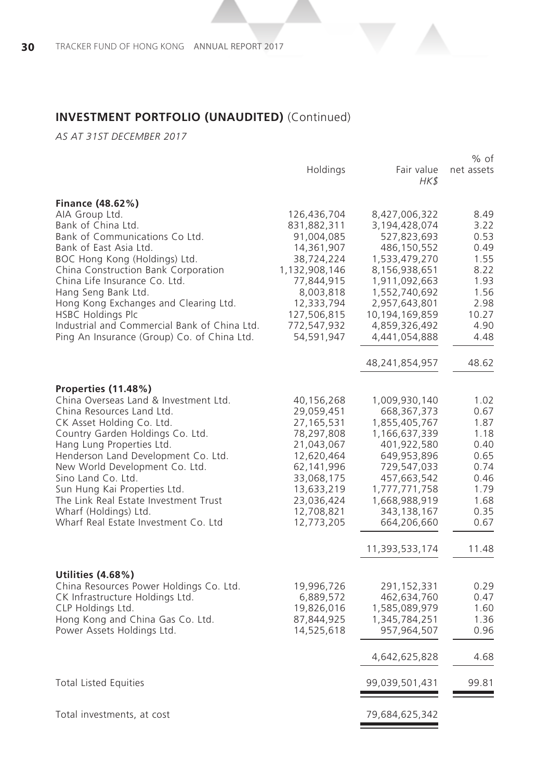# **INVESTMENT PORTFOLIO (UNAUDITED)** (Continued)

*AS AT 31ST DECEMBER 2017*

|                                              |               |                     | % ot       |
|----------------------------------------------|---------------|---------------------|------------|
|                                              | Holdings      | Fair value<br>HK \$ | net assets |
| Finance (48.62%)                             |               |                     |            |
| AIA Group Ltd.                               | 126,436,704   | 8,427,006,322       | 8.49       |
| Bank of China Ltd.                           | 831,882,311   | 3,194,428,074       | 3.22       |
| Bank of Communications Co Ltd.               | 91,004,085    | 527,823,693         | 0.53       |
| Bank of East Asia Ltd.                       | 14,361,907    | 486,150,552         | 0.49       |
| BOC Hong Kong (Holdings) Ltd.                | 38,724,224    | 1,533,479,270       | 1.55       |
| China Construction Bank Corporation          | 1,132,908,146 | 8,156,938,651       | 8.22       |
| China Life Insurance Co. Ltd.                | 77,844,915    | 1,911,092,663       | 1.93       |
| Hang Seng Bank Ltd.                          | 8,003,818     | 1,552,740,692       | 1.56       |
| Hong Kong Exchanges and Clearing Ltd.        | 12,333,794    | 2,957,643,801       | 2.98       |
| <b>HSBC Holdings Plc</b>                     | 127,506,815   | 10,194,169,859      | 10.27      |
| Industrial and Commercial Bank of China Ltd. | 772,547,932   | 4,859,326,492       | 4.90       |
| Ping An Insurance (Group) Co. of China Ltd.  | 54,591,947    | 4,441,054,888       | 4.48       |
|                                              |               | 48,241,854,957      | 48.62      |
| Properties (11.48%)                          |               |                     |            |
| China Overseas Land & Investment Ltd.        | 40,156,268    | 1,009,930,140       | 1.02       |
| China Resources Land Ltd.                    | 29,059,451    | 668,367,373         | 0.67       |
| CK Asset Holding Co. Ltd.                    | 27,165,531    | 1,855,405,767       | 1.87       |
| Country Garden Holdings Co. Ltd.             | 78,297,808    | 1,166,637,339       | 1.18       |
| Hang Lung Properties Ltd.                    | 21,043,067    | 401,922,580         | 0.40       |
| Henderson Land Development Co. Ltd.          | 12,620,464    | 649,953,896         | 0.65       |
| New World Development Co. Ltd.               | 62,141,996    | 729,547,033         | 0.74       |
| Sino Land Co. Ltd.                           | 33,068,175    | 457,663,542         | 0.46       |
| Sun Hung Kai Properties Ltd.                 | 13,633,219    | 1,777,771,758       | 1.79       |
| The Link Real Estate Investment Trust        | 23,036,424    | 1,668,988,919       | 1.68       |
| Wharf (Holdings) Ltd.                        | 12,708,821    | 343,138,167         | 0.35       |
| Wharf Real Estate Investment Co. Ltd         | 12,773,205    | 664,206,660         | 0.67       |
|                                              |               | 11,393,533,174      | 11.48      |
| Utilities (4.68%)                            |               |                     |            |
| China Resources Power Holdings Co. Ltd.      | 19,996,726    | 291,152,331         | 0.29       |
| CK Infrastructure Holdings Ltd.              | 6,889,572     | 462,634,760         | 0.47       |
| CLP Holdings Ltd.                            | 19,826,016    | 1,585,089,979       | 1.60       |
| Hong Kong and China Gas Co. Ltd.             | 87,844,925    | 1,345,784,251       | 1.36       |
| Power Assets Holdings Ltd.                   | 14,525,618    | 957,964,507         | 0.96       |
|                                              |               | 4,642,625,828       | 4.68       |
| Total Listed Equities                        |               | 99,039,501,431      | 99.81      |
| Total investments, at cost                   |               | 79,684,625,342      |            |
|                                              |               |                     |            |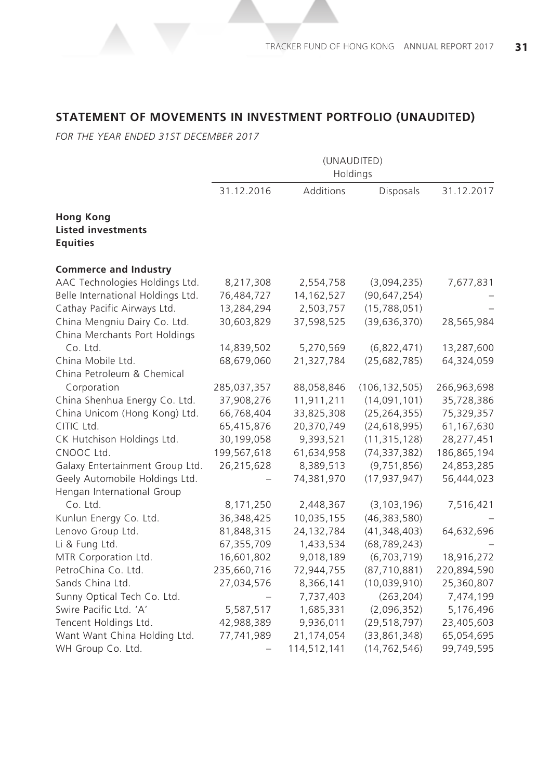# **STATEMENT OF MOVEMENTS IN INVESTMENT PORTFOLIO (UNAUDITED)**

*FOR THE YEAR ENDED 31ST DECEMBER 2017*

|                                                                  | (UNAUDITED)<br>Holdings |              |                 |             |
|------------------------------------------------------------------|-------------------------|--------------|-----------------|-------------|
|                                                                  | 31.12.2016              | Additions    | Disposals       | 31.12.2017  |
| <b>Hong Kong</b><br><b>Listed investments</b><br><b>Equities</b> |                         |              |                 |             |
| <b>Commerce and Industry</b>                                     |                         |              |                 |             |
| AAC Technologies Holdings Ltd.                                   | 8,217,308               | 2,554,758    | (3,094,235)     | 7,677,831   |
| Belle International Holdings Ltd.                                | 76,484,727              | 14, 162, 527 | (90, 647, 254)  |             |
| Cathay Pacific Airways Ltd.                                      | 13,284,294              | 2,503,757    | (15, 788, 051)  |             |
| China Mengniu Dairy Co. Ltd.                                     | 30,603,829              | 37,598,525   | (39, 636, 370)  | 28,565,984  |
| China Merchants Port Holdings                                    |                         |              |                 |             |
| Co. Ltd.                                                         | 14,839,502              | 5,270,569    | (6,822,471)     | 13,287,600  |
| China Mobile Ltd.                                                | 68,679,060              | 21,327,784   | (25,682,785)    | 64,324,059  |
| China Petroleum & Chemical                                       |                         |              |                 |             |
| Corporation                                                      | 285,037,357             | 88,058,846   | (106, 132, 505) | 266,963,698 |
| China Shenhua Energy Co. Ltd.                                    | 37,908,276              | 11,911,211   | (14,091,101)    | 35,728,386  |
| China Unicom (Hong Kong) Ltd.                                    | 66,768,404              | 33,825,308   | (25, 264, 355)  | 75,329,357  |
| CITIC Ltd.                                                       | 65,415,876              | 20,370,749   | (24, 618, 995)  | 61,167,630  |
| CK Hutchison Holdings Ltd.                                       | 30,199,058              | 9,393,521    | (11, 315, 128)  | 28,277,451  |
| CNOOC Ltd.                                                       | 199,567,618             | 61,634,958   | (74, 337, 382)  | 186,865,194 |
| Galaxy Entertainment Group Ltd.                                  | 26,215,628              | 8,389,513    | (9,751,856)     | 24,853,285  |
| Geely Automobile Holdings Ltd.                                   |                         | 74,381,970   | (17, 937, 947)  | 56,444,023  |
| Hengan International Group                                       |                         |              |                 |             |
| Co. Ltd.                                                         | 8,171,250               | 2,448,367    | (3, 103, 196)   | 7,516,421   |
| Kunlun Energy Co. Ltd.                                           | 36,348,425              | 10,035,155   | (46, 383, 580)  |             |
| Lenovo Group Ltd.                                                | 81,848,315              | 24, 132, 784 | (41, 348, 403)  | 64,632,696  |
| Li & Fung Ltd.                                                   | 67,355,709              | 1,433,534    | (68, 789, 243)  |             |
| MTR Corporation Ltd.                                             | 16,601,802              | 9,018,189    | (6,703,719)     | 18,916,272  |
| PetroChina Co. Ltd.                                              | 235,660,716             | 72,944,755   | (87, 710, 881)  | 220,894,590 |
| Sands China Ltd.                                                 | 27,034,576              | 8,366,141    | (10, 039, 910)  | 25,360,807  |
| Sunny Optical Tech Co. Ltd.                                      |                         | 7,737,403    | (263, 204)      | 7,474,199   |
| Swire Pacific Ltd. 'A'                                           | 5,587,517               | 1,685,331    | (2,096,352)     | 5,176,496   |
| Tencent Holdings Ltd.                                            | 42,988,389              | 9,936,011    | (29, 518, 797)  | 23,405,603  |
| Want Want China Holding Ltd.                                     | 77,741,989              | 21,174,054   | (33,861,348)    | 65,054,695  |
| WH Group Co. Ltd.                                                |                         | 114,512,141  | (14, 762, 546)  | 99,749,595  |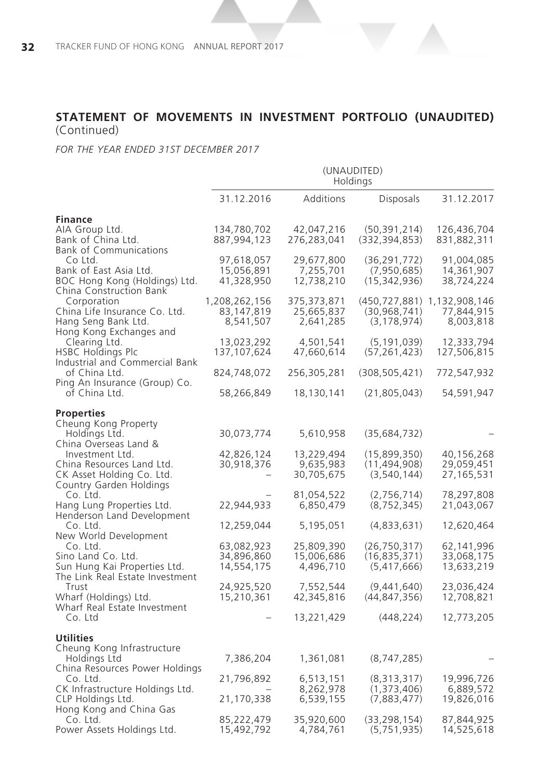# **STATEMENT OF MOVEMENTS IN INVESTMENT PORTFOLIO (UNAUDITED)**  (Continued)

*FOR THE YEAR ENDED 31ST DECEMBER 2017*

|                                                                                                                                                                                                                                                                                                                                                                                                                                                                                           | (UNAUDITED)<br>Holdings                                                                                                                  |                                                                                                                                                                              |                                                                                                                                                                                                                  |                                                                                                                                                                      |
|-------------------------------------------------------------------------------------------------------------------------------------------------------------------------------------------------------------------------------------------------------------------------------------------------------------------------------------------------------------------------------------------------------------------------------------------------------------------------------------------|------------------------------------------------------------------------------------------------------------------------------------------|------------------------------------------------------------------------------------------------------------------------------------------------------------------------------|------------------------------------------------------------------------------------------------------------------------------------------------------------------------------------------------------------------|----------------------------------------------------------------------------------------------------------------------------------------------------------------------|
|                                                                                                                                                                                                                                                                                                                                                                                                                                                                                           | 31.12.2016                                                                                                                               | Additions                                                                                                                                                                    | Disposals                                                                                                                                                                                                        | 31.12.2017                                                                                                                                                           |
| <b>Finance</b><br>AIA Group Ltd.<br>Bank of China Ltd.<br><b>Bank of Communications</b><br>Co Ltd.<br>Bank of East Asia Ltd.<br>BOC Hong Kong (Holdings) Ltd.<br>China Construction Bank<br>Corporation<br>China Life Insurance Co. Ltd.<br>Hang Seng Bank Ltd.<br>Hong Kong Exchanges and<br>Clearing Ltd.<br><b>HSBC Holdings Plc</b><br>Industrial and Commercial Bank<br>of China Ltd.<br>Ping An Insurance (Group) Co.<br>of China Ltd.                                              | 134,780,702<br>887,994,123                                                                                                               | 42,047,216<br>276,283,041                                                                                                                                                    | (50, 391, 214)<br>(332, 394, 853)                                                                                                                                                                                | 126,436,704<br>831,882,311                                                                                                                                           |
|                                                                                                                                                                                                                                                                                                                                                                                                                                                                                           | 97,618,057<br>15,056,891<br>41,328,950                                                                                                   | 29,677,800<br>7,255,701<br>12,738,210                                                                                                                                        | (36, 291, 772)<br>(7,950,685)<br>(15, 342, 936)                                                                                                                                                                  | 91,004,085<br>14,361,907<br>38,724,224                                                                                                                               |
|                                                                                                                                                                                                                                                                                                                                                                                                                                                                                           | 1,208,262,156<br>83,147,819<br>8,541,507                                                                                                 | 375,373,871<br>25,665,837<br>2,641,285                                                                                                                                       | (30, 968, 741)<br>(3, 178, 974)                                                                                                                                                                                  | (450,727,881) 1,132,908,146<br>77,844,915<br>8,003,818                                                                                                               |
|                                                                                                                                                                                                                                                                                                                                                                                                                                                                                           | 13,023,292<br>137,107,624                                                                                                                | 4,501,541<br>47,660,614                                                                                                                                                      | (5, 191, 039)<br>(57, 261, 423)                                                                                                                                                                                  | 12,333,794<br>127,506,815                                                                                                                                            |
|                                                                                                                                                                                                                                                                                                                                                                                                                                                                                           | 824,748,072                                                                                                                              | 256,305,281                                                                                                                                                                  | (308, 505, 421)                                                                                                                                                                                                  | 772,547,932                                                                                                                                                          |
|                                                                                                                                                                                                                                                                                                                                                                                                                                                                                           | 58,266,849                                                                                                                               | 18,130,141                                                                                                                                                                   | (21,805,043)                                                                                                                                                                                                     | 54,591,947                                                                                                                                                           |
| <b>Properties</b><br>Cheung Kong Property<br>Holdings Ltd.<br>China Overseas Land &<br>Investment Ltd.<br>China Resources Land Ltd.<br>CK Asset Holding Co. Ltd.<br>Country Garden Holdings<br>Co. Ltd.<br>Hang Lung Properties Ltd.<br>Henderson Land Development<br>Co. Ltd.<br>New World Development<br>Co. Ltd.<br>Sino Land Co. Ltd.<br>Sun Hung Kai Properties Ltd.<br>The Link Real Estate Investment<br>Trust<br>Wharf (Holdings) Ltd.<br>Wharf Real Estate Investment<br>Co. Ltd | 30,073,774<br>42,826,124<br>30,918,376<br>22,944,933<br>12,259,044<br>63,082,923<br>34,896,860<br>14,554,175<br>24,925,520<br>15,210,361 | 5,610,958<br>13,229,494<br>9,635,983<br>30,705,675<br>81,054,522<br>6,850,479<br>5,195,051<br>25,809,390<br>15,006,686<br>4,496,710<br>7,552,544<br>42,345,816<br>13,221,429 | (35,684,732)<br>(15,899,350)<br>(11, 494, 908)<br>(3, 540, 144)<br>(2,756,714)<br>(8, 752, 345)<br>(4,833,631)<br>(26, 750, 317)<br>(16, 835, 371)<br>(5,417,666)<br>(9,441,640)<br>(44, 847, 356)<br>(448, 224) | 40,156,268<br>29,059,451<br>27,165,531<br>78,297,808<br>21,043,067<br>12,620,464<br>62,141,996<br>33,068,175<br>13,633,219<br>23,036,424<br>12,708,821<br>12,773,205 |
| <b>Utilities</b><br>Cheung Kong Infrastructure<br>Holdings Ltd<br>China Resources Power Holdings<br>Co. Ltd.<br>CK Infrastructure Holdings Ltd.<br>CLP Holdings Ltd.<br>Hong Kong and China Gas                                                                                                                                                                                                                                                                                           | 7,386,204<br>21,796,892<br>21,170,338                                                                                                    | 1,361,081<br>6,513,151<br>8,262,978<br>6,539,155                                                                                                                             | (8,747,285)<br>(8,313,317)<br>(1,373,406)<br>(7,883,477)                                                                                                                                                         | 19,996,726<br>6,889,572<br>19,826,016                                                                                                                                |
| Co. Ltd.<br>Power Assets Holdings Ltd.                                                                                                                                                                                                                                                                                                                                                                                                                                                    | 85,222,479<br>15,492,792                                                                                                                 | 35,920,600<br>4,784,761                                                                                                                                                      | (33, 298, 154)<br>(5,751,935)                                                                                                                                                                                    | 87,844,925<br>14,525,618                                                                                                                                             |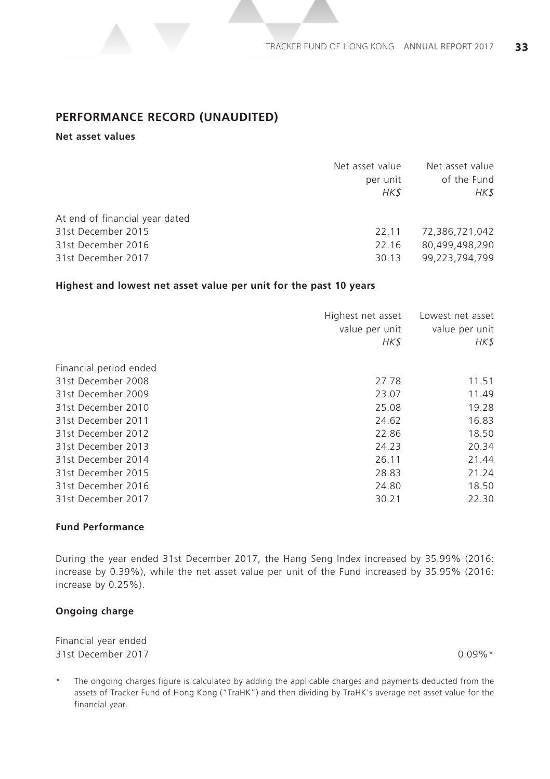# **PERFORMANCE RECORD (UNAUDITED)**

### **Net asset values**

| Net asset value<br>per unit<br>HK\$ | Net asset value<br>of the Fund<br>HK\$ |
|-------------------------------------|----------------------------------------|
|                                     |                                        |
| 22.11                               | 72.386.721.042                         |
| 22.16                               | 80.499.498.290                         |
| 30.13                               | 99.223.794.799                         |
|                                     |                                        |

#### **Highest and lowest net asset value per unit for the past 10 years**

| Highest net asset<br>value per unit<br>HK\$ | Lowest net asset<br>value per unit<br>HK\$ |
|---------------------------------------------|--------------------------------------------|
|                                             |                                            |
| 27.78                                       | 11.51                                      |
| 23.07                                       | 11.49                                      |
| 25.08                                       | 19.28                                      |
| 24.62                                       | 16.83                                      |
| 22.86                                       | 18.50                                      |
| 24.23                                       | 20.34                                      |
| 26.11                                       | 21.44                                      |
| 28.83                                       | 21.24                                      |
| 24.80                                       | 18.50                                      |
| 30.21                                       | 22.30                                      |
|                                             |                                            |

### **Fund Performance**

During the year ended 31st December 2017, the Hang Seng Index increased by 35.99% (2016: increase by 0.39%), while the net asset value per unit of the Fund increased by 35.95% (2016: increase by 0.25%).

### **Ongoing charge**

Financial year ended 31st December 2017 0.09%\*

The ongoing charges figure is calculated by adding the applicable charges and payments deducted from the assets of Tracker Fund of Hong Kong ("TraHK") and then dividing by TraHK's average net asset value for the financial year.